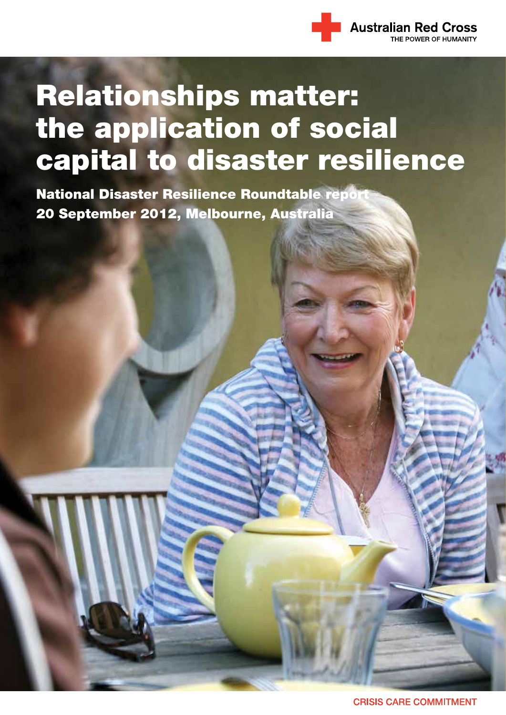

# Relationships matter: the application of social capital to disaster resilience

National Disaster Resilience Roundtable report 20 September 2012, Melbourne, Australia

**CRISIS CARE COMMITMENT**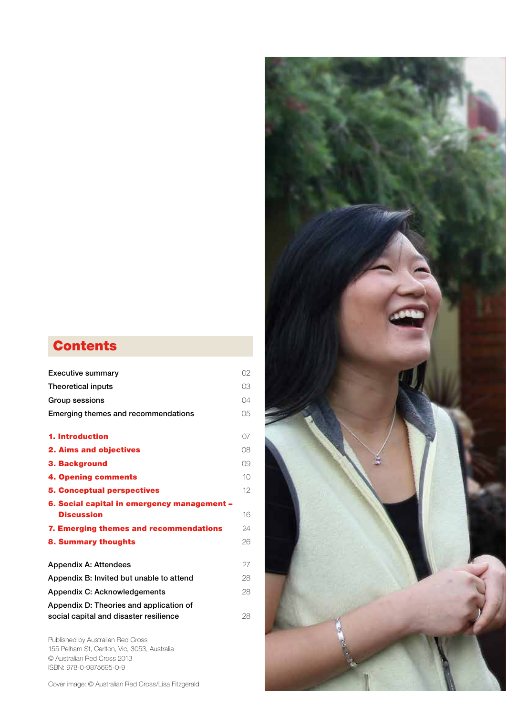# **Contents**

| <b>Executive summary</b>                                         | 02             |
|------------------------------------------------------------------|----------------|
| Theoretical inputs                                               | OЗ             |
| Group sessions                                                   | 04             |
| Emerging themes and recommendations                              | 05             |
| <b>1. Introduction</b>                                           | O <sub>7</sub> |
| <b>2. Aims and objectives</b>                                    | 08             |
| 3. Background                                                    | 09             |
| <b>4. Opening comments</b>                                       | 1C             |
| <b>5. Conceptual perspectives</b>                                | 12             |
| 6. Social capital in emergency management -<br><b>Discussion</b> | 16             |
| <b>7. Emerging themes and recommendations</b>                    | 24             |
| 8. Summary thoughts                                              | 26             |
| Appendix A: Attendees                                            | 27             |
| Appendix B: Invited but unable to attend                         | 28             |
| Appendix C: Acknowledgements                                     | 28             |
| Appendix D: Theories and application of                          |                |
| social capital and disaster resilience                           | 28             |

Published by Australian Red Cross 155 Pelham St, Carlton, Vic, 3053, Australia © Australian Red Cross 2013 ISBN: 978-0-9875695-0-9

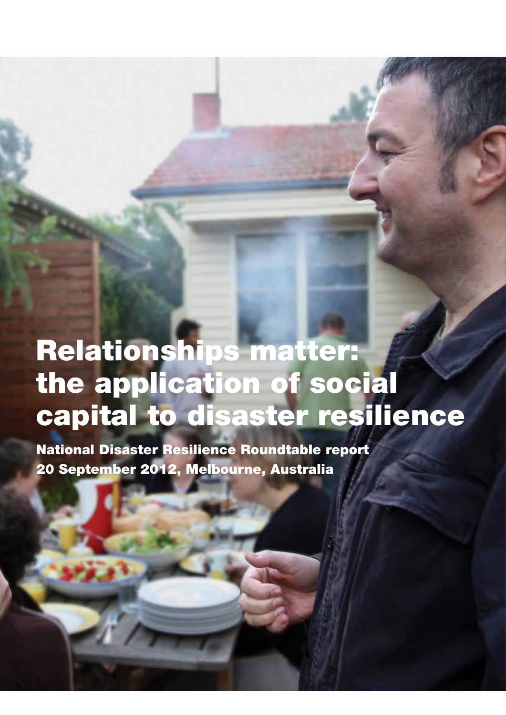# <span id="page-2-0"></span>Relationships matter: the application of social capital to disaster resilience

National Disaster Resilience Roundtable Report 01

National Disaster Resilience Roundtable report 20 September 2012, Melbourne, Australia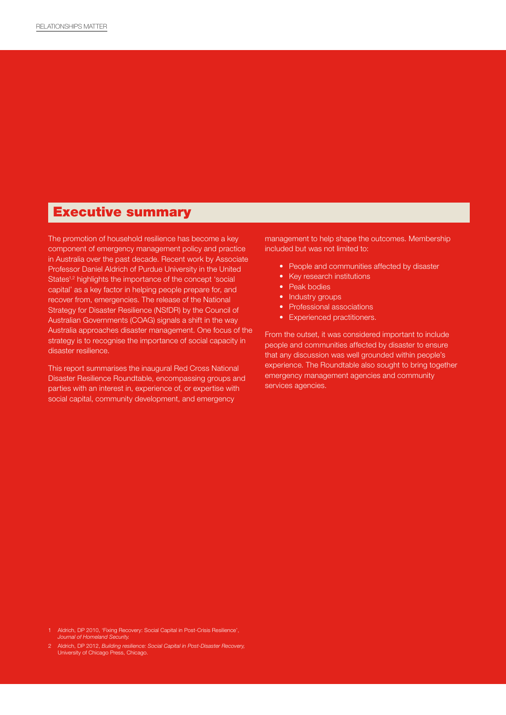# <span id="page-3-0"></span>Executive summary

The promotion of household resilience has become a key component of emergency management policy and practice in Australia over the past decade. Recent work by Associate Professor Daniel Aldrich of Purdue University in the United States<sup>1,2</sup> highlights the importance of the concept 'social capital' as a key factor in helping people prepare for, and recover from, emergencies. The release of the National Strategy for Disaster Resilience (NSfDR) by the Council of Australian Governments (COAG) signals a shift in the way Australia approaches disaster management. One focus of the strategy is to recognise the importance of social capacity in disaster resilience.

This report summarises the inaugural Red Cross National Disaster Resilience Roundtable, encompassing groups and parties with an interest in, experience of, or expertise with social capital, community development, and emergency

management to help shape the outcomes. Membership included but was not limited to:

- People and communities affected by disaster
- Key research institutions
- Peak bodies
- Industry groups
- Professional associations
- Experienced practitioners.

From the outset, it was considered important to include people and communities affected by disaster to ensure that any discussion was well grounded within people's experience. The Roundtable also sought to bring together emergency management agencies and community services agencies.

- 1 Aldrich, DP 2010, 'Fixing Recovery: Social Capital in Post-Crisis Resilience', *Journal of Homeland Security.*
- 2 Aldrich, DP 2012, *Building resilience: Social Capital in Post-Disaster Recovery,* University of Chicago Press, Chicago.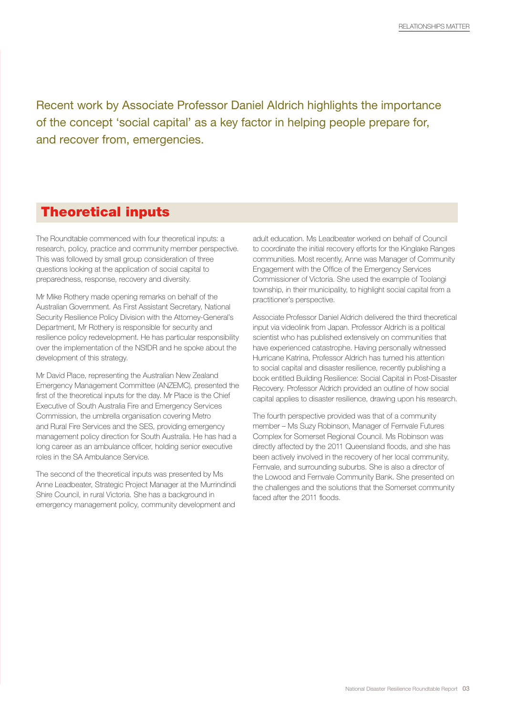<span id="page-4-0"></span>Recent work by Associate Professor Daniel Aldrich highlights the importance of the concept 'social capital' as a key factor in helping people prepare for, and recover from, emergencies.

# Theoretical inputs

The Roundtable commenced with four theoretical inputs: a research, policy, practice and community member perspective. This was followed by small group consideration of three questions looking at the application of social capital to preparedness, response, recovery and diversity.

Mr Mike Rothery made opening remarks on behalf of the Australian Government. As First Assistant Secretary, National Security Resilience Policy Division with the Attorney-General's Department, Mr Rothery is responsible for security and resilience policy redevelopment. He has particular responsibility over the implementation of the NSfDR and he spoke about the development of this strategy.

Mr David Place, representing the Australian New Zealand Emergency Management Committee (ANZEMC), presented the first of the theoretical inputs for the day. Mr Place is the Chief Executive of South Australia Fire and Emergency Services Commission, the umbrella organisation covering Metro and Rural Fire Services and the SES, providing emergency management policy direction for South Australia. He has had a long career as an ambulance officer, holding senior executive roles in the SA Ambulance Service.

The second of the theoretical inputs was presented by Ms Anne Leadbeater, Strategic Project Manager at the Murrindindi Shire Council, in rural Victoria. She has a background in emergency management policy, community development and

adult education. Ms Leadbeater worked on behalf of Council to coordinate the initial recovery efforts for the Kinglake Ranges communities. Most recently, Anne was Manager of Community Engagement with the Office of the Emergency Services Commissioner of Victoria. She used the example of Toolangi township, in their municipality, to highlight social capital from a practitioner's perspective.

Associate Professor Daniel Aldrich delivered the third theoretical input via videolink from Japan. Professor Aldrich is a political scientist who has published extensively on communities that have experienced catastrophe. Having personally witnessed Hurricane Katrina, Professor Aldrich has turned his attention to social capital and disaster resilience, recently publishing a book entitled Building Resilience: Social Capital in Post-Disaster Recovery. Professor Aldrich provided an outline of how social capital applies to disaster resilience, drawing upon his research.

The fourth perspective provided was that of a community member – Ms Suzy Robinson, Manager of Fernvale Futures Complex for Somerset Regional Council. Ms Robinson was directly affected by the 2011 Queensland floods, and she has been actively involved in the recovery of her local community, Fernvale, and surrounding suburbs. She is also a director of the Lowood and Fernvale Community Bank. She presented on the challenges and the solutions that the Somerset community faced after the 2011 floods.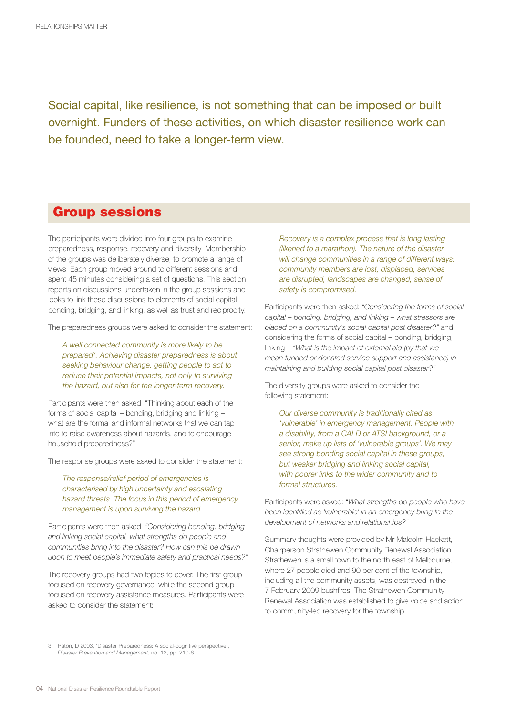<span id="page-5-0"></span>Social capital, like resilience, is not something that can be imposed or built overnight. Funders of these activities, on which disaster resilience work can be founded, need to take a longer-term view.

# Group sessions

The participants were divided into four groups to examine preparedness, response, recovery and diversity. Membership of the groups was deliberately diverse, to promote a range of views. Each group moved around to different sessions and spent 45 minutes considering a set of questions. This section reports on discussions undertaken in the group sessions and looks to link these discussions to elements of social capital, bonding, bridging, and linking, as well as trust and reciprocity.

The preparedness groups were asked to consider the statement:

*A well connected community is more likely to be prepared3 . Achieving disaster preparedness is about seeking behaviour change, getting people to act to reduce their potential impacts, not only to surviving the hazard, but also for the longer-term recovery.* 

Participants were then asked: "Thinking about each of the forms of social capital – bonding, bridging and linking – what are the formal and informal networks that we can tap into to raise awareness about hazards, and to encourage household preparedness?"

The response groups were asked to consider the statement:

*The response/relief period of emergencies is characterised by high uncertainty and escalating hazard threats. The focus in this period of emergency management is upon surviving the hazard.* 

Participants were then asked: *"Considering bonding, bridging and linking social capital, what strengths do people and communities bring into the disaster? How can this be drawn upon to meet people's immediate safety and practical needs?"*

The recovery groups had two topics to cover. The first group focused on recovery governance, while the second group focused on recovery assistance measures. Participants were asked to consider the statement:

*Recovery is a complex process that is long lasting (likened to a marathon). The nature of the disaster will change communities in a range of different ways: community members are lost, displaced, services are disrupted, landscapes are changed, sense of safety is compromised.* 

Participants were then asked: *"Considering the forms of social capital – bonding, bridging, and linking – what stressors are placed on a community's social capital post disaster?"* and considering the forms of social capital – bonding, bridging, linking – *"What is the impact of external aid (by that we mean funded or donated service support and assistance) in maintaining and building social capital post disaster?"*

The diversity groups were asked to consider the following statement:

*Our diverse community is traditionally cited as 'vulnerable' in emergency management. People with a disability, from a CALD or ATSI background, or a senior, make up lists of 'vulnerable groups'. We may see strong bonding social capital in these groups, but weaker bridging and linking social capital, with poorer links to the wider community and to formal structures.* 

Participants were asked: *"What strengths do people who have been identified as 'vulnerable' in an emergency bring to the development of networks and relationships?"*

Summary thoughts were provided by Mr Malcolm Hackett, Chairperson Strathewen Community Renewal Association. Strathewen is a small town to the north east of Melbourne, where 27 people died and 90 per cent of the township, including all the community assets, was destroyed in the 7 February 2009 bushfires. The Strathewen Community Renewal Association was established to give voice and action to community-led recovery for the township.

Paton, D 2003, 'Disaster Preparedness: A social-cognitive perspective', *Disaster Prevention and Management*, no. 12, pp. 210-6.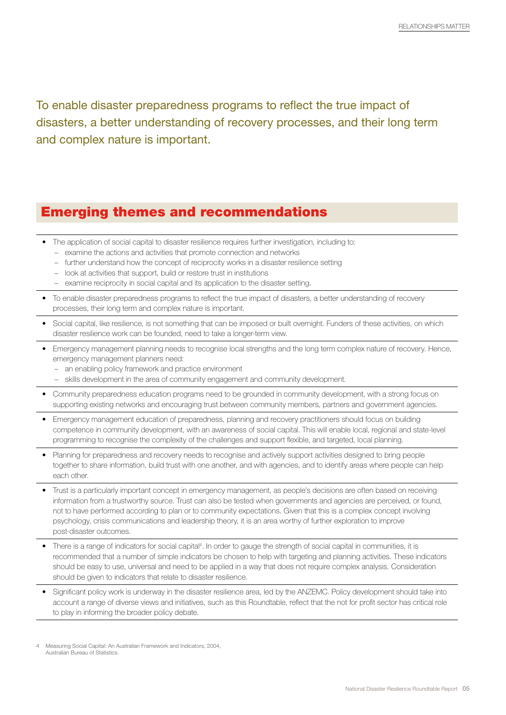<span id="page-6-0"></span>To enable disaster preparedness programs to reflect the true impact of disasters, a better understanding of recovery processes, and their long term and complex nature is important.

# Emerging themes and recommendations

- The application of social capital to disaster resilience requires further investigation, including to:
	- − examine the actions and activities that promote connection and networks
	- − further understand how the concept of reciprocity works in a disaster resilience setting
	- − look at activities that support, build or restore trust in institutions
	- − examine reciprocity in social capital and its application to the disaster setting.
- To enable disaster preparedness programs to reflect the true impact of disasters, a better understanding of recovery processes, their long term and complex nature is important.
- Social capital, like resilience, is not something that can be imposed or built overnight. Funders of these activities, on which disaster resilience work can be founded, need to take a longer-term view.
- Emergency management planning needs to recognise local strengths and the long term complex nature of recovery. Hence, emergency management planners need:
	- − an enabling policy framework and practice environment
	- − skills development in the area of community engagement and community development.
- Community preparedness education programs need to be grounded in community development, with a strong focus on supporting existing networks and encouraging trust between community members, partners and government agencies.
- Emergency management education of preparedness, planning and recovery practitioners should focus on building competence in community development, with an awareness of social capital. This will enable local, regional and state-level programming to recognise the complexity of the challenges and support flexible, and targeted, local planning.
- Planning for preparedness and recovery needs to recognise and actively support activities designed to bring people together to share information, build trust with one another, and with agencies, and to identify areas where people can help each other.
- Trust is a particularly important concept in emergency management, as people's decisions are often based on receiving information from a trustworthy source. Trust can also be tested when governments and agencies are perceived, or found, not to have performed according to plan or to community expectations. Given that this is a complex concept involving psychology, crisis communications and leadership theory, it is an area worthy of further exploration to improve post-disaster outcomes.
- There is a range of indicators for social capital4 . In order to gauge the strength of social capital in communities, it is recommended that a number of simple indicators be chosen to help with targeting and planning activities. These indicators should be easy to use, universal and need to be applied in a way that does not require complex analysis. Consideration should be given to indicators that relate to disaster resilience.
- Significant policy work is underway in the disaster resilience area, led by the ANZEMC. Policy development should take into account a range of diverse views and initiatives, such as this Roundtable, reflect that the not for profit sector has critical role to play in informing the broader policy debate.

<sup>4</sup> Measuring Social Capital: An Australian Framework and Indicators, 2004, Australian Bureau of Statistics.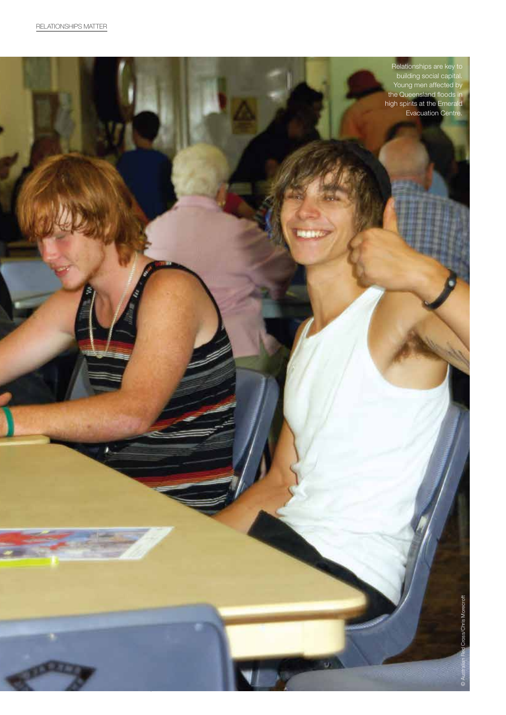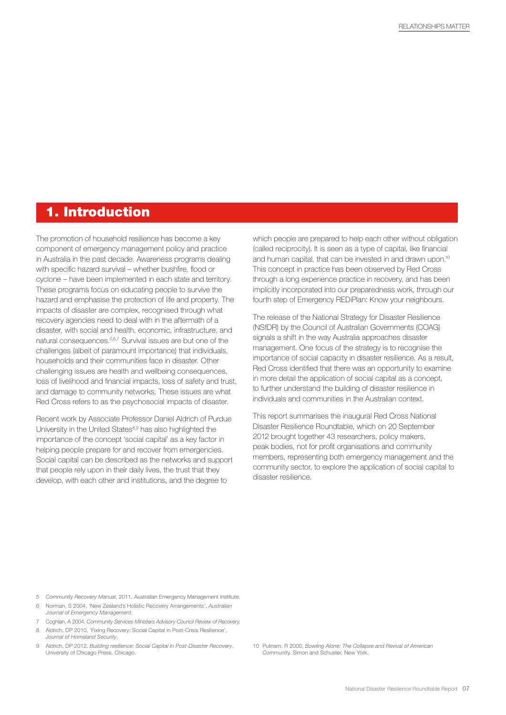# 1. Introduction

The promotion of household resilience has become a key component of emergency management policy and practice in Australia in the past decade. Awareness programs dealing with specific hazard survival – whether bushfire, flood or cyclone – have been implemented in each state and territory. These programs focus on educating people to survive the hazard and emphasise the protection of life and property. The impacts of disaster are complex, recognised through what recovery agencies need to deal with in the aftermath of a disaster, with social and health, economic, infrastructure, and natural consequences.5,6,7 Survival issues are but one of the challenges (albeit of paramount importance) that individuals, households and their communities face in disaster. Other challenging issues are health and wellbeing consequences, loss of livelihood and financial impacts, loss of safety and trust, and damage to community networks. These issues are what Red Cross refers to as the psychosocial impacts of disaster.

Recent work by Associate Professor Daniel Aldrich of Purdue University in the United States<sup>8,9</sup> has also highlighted the importance of the concept 'social capital' as a key factor in helping people prepare for and recover from emergencies. Social capital can be described as the networks and support that people rely upon in their daily lives, the trust that they develop, with each other and institutions, and the degree to

which people are prepared to help each other without obligation (called reciprocity). It is seen as a type of capital, like financial and human capital, that can be invested in and drawn upon.10 This concept in practice has been observed by Red Cross through a long experience practice in recovery, and has been implicitly incorporated into our preparedness work, through our fourth step of Emergency REDiPlan: Know your neighbours.

The release of the National Strategy for Disaster Resilience (NSfDR) by the Council of Australian Governments (COAG) signals a shift in the way Australia approaches disaster management. One focus of the strategy is to recognise the importance of social capacity in disaster resilience. As a result, Red Cross identified that there was an opportunity to examine in more detail the application of social capital as a concept, to further understand the building of disaster resilience in individuals and communities in the Australian context.

This report summarises the inaugural Red Cross National Disaster Resilience Roundtable, which on 20 September 2012 brought together 43 researchers, policy makers, peak bodies, not for profit organisations and community members, representing both emergency management and the community sector, to explore the application of social capital to disaster resilience.

- 5 *Community Recovery Manual*, 2011, Australian Emergency Management Institute.
- 6 Norman, S 2004, 'New Zealand's Holistic Recovery Arrangements', *Australian Journal of Emergency Management*.
- 7 Coghlan, A 2004, *Community Services Ministers Advisory Council Review of Recovery.*
- 8 Aldrich, DP 2010, 'Fixing Recovery: Social Capital in Post-Crisis Resilience', *Journal of Homeland Security*.
- 9 Aldrich, DP 2012, *Building resilience: Social Capital in Post-Disaster Recovery*, University of Chicago Press, Chicago.
- 10 Putnam, R 2000, *Bowling Alone: The Collapse and Revival of American Communit*y. Simon and Schuster, New York.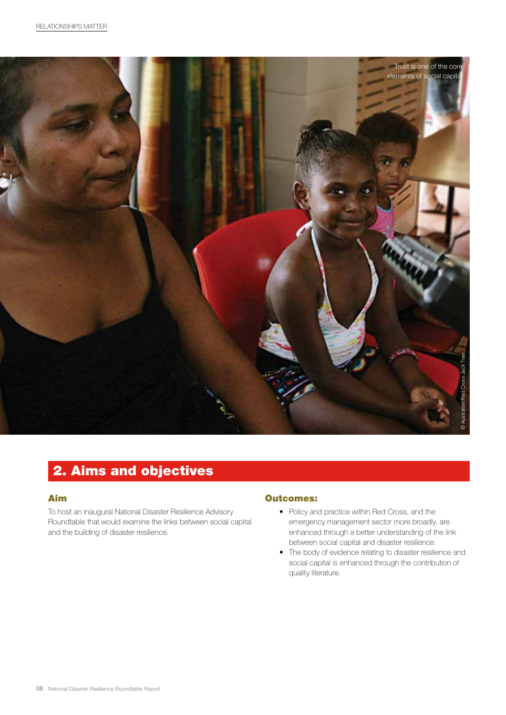<span id="page-9-0"></span>

# 2. Aims and objectives

## Aim

To host an inaugural National Disaster Resilience Advisory Roundtable that would examine the links between social capital and the building of disaster resilience.

## Outcomes:

- Policy and practice within Red Cross, and the emergency management sector more broadly, are enhanced through a better understanding of the link between social capital and disaster resilience.
- The body of evidence relating to disaster resilience and social capital is enhanced through the contribution of quality literature.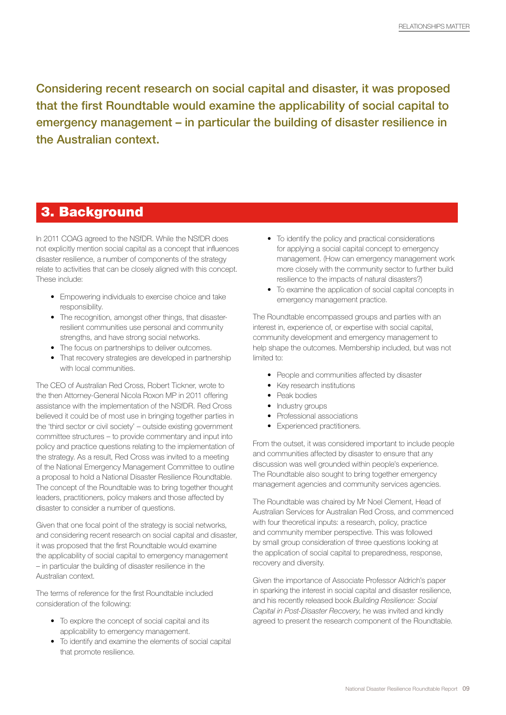<span id="page-10-0"></span>Considering recent research on social capital and disaster, it was proposed that the first Roundtable would examine the applicability of social capital to emergency management – in particular the building of disaster resilience in the Australian context.

# 3. Background

In 2011 COAG agreed to the NSfDR. While the NSfDR does not explicitly mention social capital as a concept that influences disaster resilience, a number of components of the strategy relate to activities that can be closely aligned with this concept. These include:

- Empowering individuals to exercise choice and take responsibility.
- The recognition, amongst other things, that disasterresilient communities use personal and community strengths, and have strong social networks.
- The focus on partnerships to deliver outcomes.
- That recovery strategies are developed in partnership with local communities.

The CEO of Australian Red Cross, Robert Tickner, wrote to the then Attorney-General Nicola Roxon MP in 2011 offering assistance with the implementation of the NSfDR. Red Cross believed it could be of most use in bringing together parties in the 'third sector or civil society' – outside existing government committee structures – to provide commentary and input into policy and practice questions relating to the implementation of the strategy. As a result, Red Cross was invited to a meeting of the National Emergency Management Committee to outline a proposal to hold a National Disaster Resilience Roundtable. The concept of the Roundtable was to bring together thought leaders, practitioners, policy makers and those affected by disaster to consider a number of questions.

Given that one focal point of the strategy is social networks, and considering recent research on social capital and disaster, it was proposed that the first Roundtable would examine the applicability of social capital to emergency management – in particular the building of disaster resilience in the Australian context.

The terms of reference for the first Roundtable included consideration of the following:

- To explore the concept of social capital and its applicability to emergency management.
- To identify and examine the elements of social capital that promote resilience.
- To identify the policy and practical considerations for applying a social capital concept to emergency management. (How can emergency management work more closely with the community sector to further build resilience to the impacts of natural disasters?)
- To examine the application of social capital concepts in emergency management practice.

The Roundtable encompassed groups and parties with an interest in, experience of, or expertise with social capital, community development and emergency management to help shape the outcomes. Membership included, but was not limited to:

- People and communities affected by disaster
- Key research institutions
- Peak bodies
- Industry groups
- Professional associations
- Experienced practitioners.

From the outset, it was considered important to include people and communities affected by disaster to ensure that any discussion was well grounded within people's experience. The Roundtable also sought to bring together emergency management agencies and community services agencies.

The Roundtable was chaired by Mr Noel Clement, Head of Australian Services for Australian Red Cross, and commenced with four theoretical inputs: a research, policy, practice and community member perspective. This was followed by small group consideration of three questions looking at the application of social capital to preparedness, response, recovery and diversity.

Given the importance of Associate Professor Aldrich's paper in sparking the interest in social capital and disaster resilience, and his recently released book *Building Resilience: Social Capital in Post-Disaster Recovery*, he was invited and kindly agreed to present the research component of the Roundtable.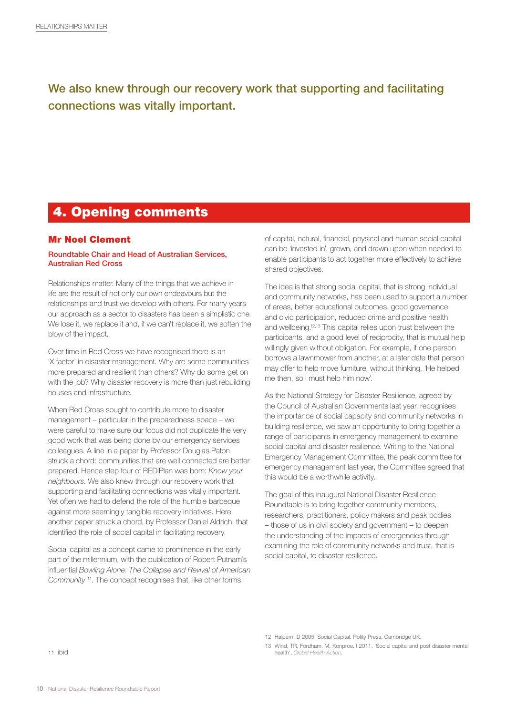<span id="page-11-0"></span>We also knew through our recovery work that supporting and facilitating connections was vitally important.

# 4. Opening comments

### Mr Noel Clement

#### Roundtable Chair and Head of Australian Services, Australian Red Cross

Relationships matter. Many of the things that we achieve in life are the result of not only our own endeavours but the relationships and trust we develop with others. For many years our approach as a sector to disasters has been a simplistic one. We lose it, we replace it and, if we can't replace it, we soften the blow of the impact.

Over time in Red Cross we have recognised there is an 'X factor' in disaster management. Why are some communities more prepared and resilient than others? Why do some get on with the job? Why disaster recovery is more than just rebuilding houses and infrastructure.

When Red Cross sought to contribute more to disaster management – particular in the preparedness space – we were careful to make sure our focus did not duplicate the very good work that was being done by our emergency services colleagues. A line in a paper by Professor Douglas Paton struck a chord: communities that are well connected are better prepared. Hence step four of REDiPlan was born: *Know your neighbours*. We also knew through our recovery work that supporting and facilitating connections was vitally important. Yet often we had to defend the role of the humble barbeque against more seemingly tangible recovery initiatives. Here another paper struck a chord, by Professor Daniel Aldrich, that identified the role of social capital in facilitating recovery.

Social capital as a concept came to prominence in the early part of the millennium, with the publication of Robert Putnam's influential *Bowling Alone: The Collapse and Revival of American Community* 11. The concept recognises that, like other forms

of capital, natural, financial, physical and human social capital can be 'invested in', grown, and drawn upon when needed to enable participants to act together more effectively to achieve shared objectives.

The idea is that strong social capital, that is strong individual and community networks, has been used to support a number of areas, better educational outcomes, good governance and civic participation, reduced crime and positive health and wellbeing.12,13 This capital relies upon trust between the participants, and a good level of reciprocity, that is mutual help willingly given without obligation. For example, if one person borrows a lawnmower from another, at a later date that person may offer to help move furniture, without thinking, 'He helped me then, so I must help him now'.

As the National Strategy for Disaster Resilience, agreed by the Council of Australian Governments last year, recognises the importance of social capacity and community networks in building resilience, we saw an opportunity to bring together a range of participants in emergency management to examine social capital and disaster resilience. Writing to the National Emergency Management Committee, the peak committee for emergency management last year, the Committee agreed that this would be a worthwhile activity.

The goal of this inaugural National Disaster Resilience Roundtable is to bring together community members, researchers, practitioners, policy makers and peak bodies – those of us in civil society and government – to deepen the understanding of the impacts of emergencies through examining the role of community networks and trust, that is social capital, to disaster resilience.

- 12 Halpern, D 2005, Social Capital. Polity Press, Cambridge UK.
- 13 Wind, TR, Fordham, M, Konproe, I 2011, 'Social capital and post disaster mental health', *Global Health Action*.

11 ibid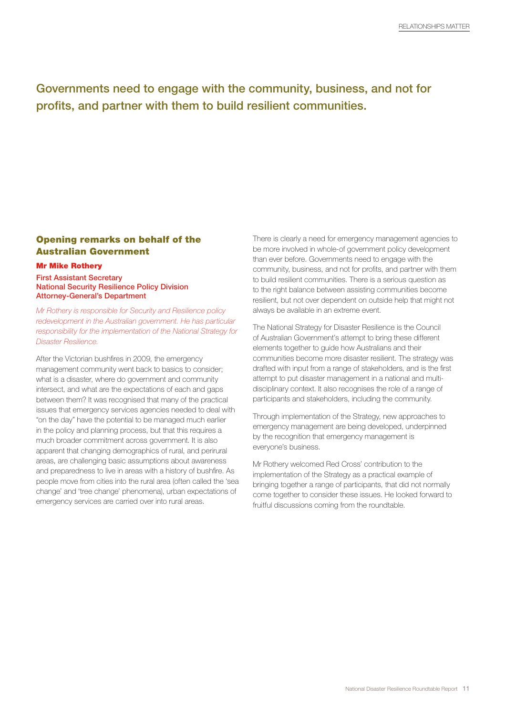Governments need to engage with the community, business, and not for profits, and partner with them to build resilient communities.

# Opening remarks on behalf of the Australian Government

## Mr Mike Rothery

First Assistant Secretary National Security Resilience Policy Division Attorney-General's Department

*Mr Rothery is responsible for Security and Resilience policy*  redevelopment in the Australian government. He has particular *responsibility for the implementation of the National Strategy for Disaster Resilience.*

After the Victorian bushfires in 2009, the emergency management community went back to basics to consider; what is a disaster, where do government and community intersect, and what are the expectations of each and gaps between them? It was recognised that many of the practical issues that emergency services agencies needed to deal with "on the day" have the potential to be managed much earlier in the policy and planning process, but that this requires a much broader commitment across government. It is also apparent that changing demographics of rural, and perirural areas, are challenging basic assumptions about awareness and preparedness to live in areas with a history of bushfire. As people move from cities into the rural area (often called the 'sea change' and 'tree change' phenomena), urban expectations of emergency services are carried over into rural areas.

There is clearly a need for emergency management agencies to be more involved in whole-of government policy development than ever before. Governments need to engage with the community, business, and not for profits, and partner with them to build resilient communities. There is a serious question as to the right balance between assisting communities become resilient, but not over dependent on outside help that might not always be available in an extreme event.

The National Strategy for Disaster Resilience is the Council of Australian Government's attempt to bring these different elements together to guide how Australians and their communities become more disaster resilient. The strategy was drafted with input from a range of stakeholders, and is the first attempt to put disaster management in a national and multidisciplinary context. It also recognises the role of a range of participants and stakeholders, including the community.

Through implementation of the Strategy, new approaches to emergency management are being developed, underpinned by the recognition that emergency management is everyone's business.

Mr Rothery welcomed Red Cross' contribution to the implementation of the Strategy as a practical example of bringing together a range of participants, that did not normally come together to consider these issues. He looked forward to fruitful discussions coming from the roundtable.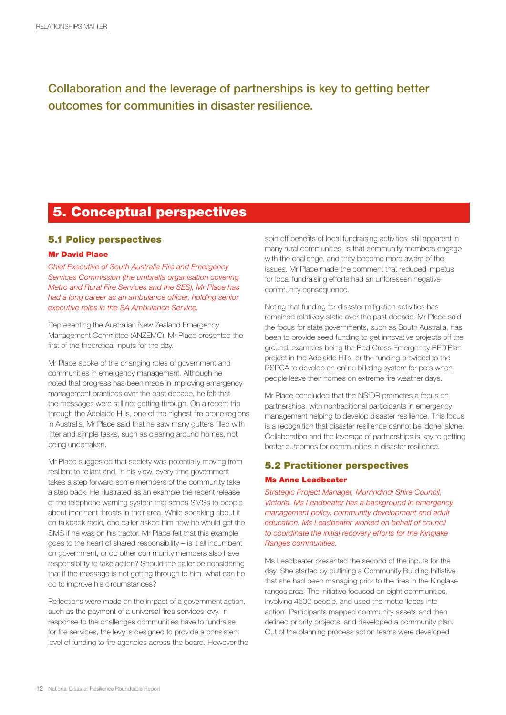Collaboration and the leverage of partnerships is key to getting better outcomes for communities in disaster resilience.

# 5. Conceptual perspectives

### 5.1 Policy perspectives

### Mr David Place

*Chief Executive of South Australia Fire and Emergency Services Commission (the umbrella organisation covering Metro and Rural Fire Services and the SES), Mr Place has had a long career as an ambulance officer, holding senior executive roles in the SA Ambulance Service.*

Representing the Australian New Zealand Emergency Management Committee (ANZEMC), Mr Place presented the first of the theoretical inputs for the day.

Mr Place spoke of the changing roles of government and communities in emergency management. Although he noted that progress has been made in improving emergency management practices over the past decade, he felt that the messages were still not getting through. On a recent trip through the Adelaide Hills, one of the highest fire prone regions in Australia, Mr Place said that he saw many gutters filled with litter and simple tasks, such as clearing around homes, not being undertaken.

Mr Place suggested that society was potentially moving from resilient to reliant and, in his view, every time government takes a step forward some members of the community take a step back. He illustrated as an example the recent release of the telephone warning system that sends SMSs to people about imminent threats in their area. While speaking about it on talkback radio, one caller asked him how he would get the SMS if he was on his tractor. Mr Place felt that this example goes to the heart of shared responsibility – is it all incumbent on government, or do other community members also have responsibility to take action? Should the caller be considering that if the message is not getting through to him, what can he do to improve his circumstances?

Reflections were made on the impact of a government action, such as the payment of a universal fires services levy. In response to the challenges communities have to fundraise for fire services, the levy is designed to provide a consistent level of funding to fire agencies across the board. However the spin off benefits of local fundraising activities, still apparent in many rural communities, is that community members engage with the challenge, and they become more aware of the issues. Mr Place made the comment that reduced impetus for local fundraising efforts had an unforeseen negative community consequence.

Noting that funding for disaster mitigation activities has remained relatively static over the past decade, Mr Place said the focus for state governments, such as South Australia, has been to provide seed funding to get innovative projects off the ground; examples being the Red Cross Emergency REDiPlan project in the Adelaide Hills, or the funding provided to the RSPCA to develop an online billeting system for pets when people leave their homes on extreme fire weather days.

Mr Place concluded that the NSfDR promotes a focus on partnerships, with nontraditional participants in emergency management helping to develop disaster resilience. This focus is a recognition that disaster resilience cannot be 'done' alone. Collaboration and the leverage of partnerships is key to getting better outcomes for communities in disaster resilience.

# 5.2 Practitioner perspectives Ms Anne Leadbeater

*Strategic Project Manager, Murrindindi Shire Council, Victoria. Ms Leadbeater has a background in emergency management policy, community development and adult education. Ms Leadbeater worked on behalf of council to coordinate the initial recovery efforts for the Kinglake Ranges communities.*

Ms Leadbeater presented the second of the inputs for the day. She started by outlining a Community Building Initiative that she had been managing prior to the fires in the Kinglake ranges area. The initiative focused on eight communities, involving 4500 people, and used the motto 'Ideas into action'. Participants mapped community assets and then defined priority projects, and developed a community plan. Out of the planning process action teams were developed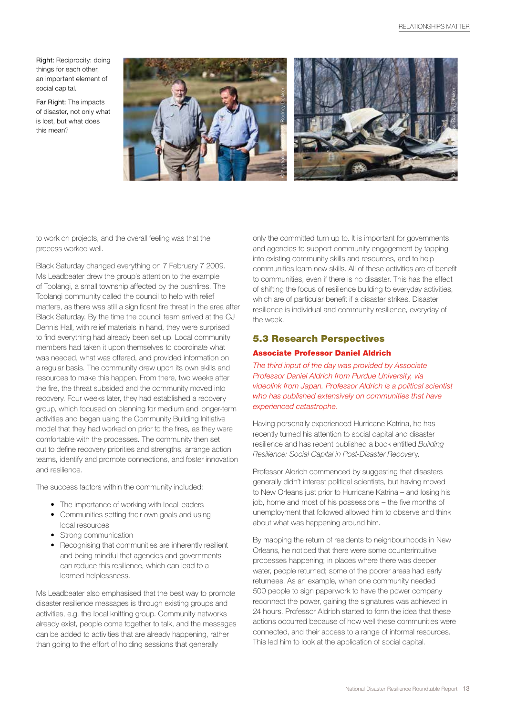Right: Reciprocity: doing things for each other, an important element of social capital.

Far Right: The impacts of disaster, not only what is lost, but what does this mean?



to work on projects, and the overall feeling was that the process worked well.

Black Saturday changed everything on 7 February 7 2009. Ms Leadbeater drew the group's attention to the example of Toolangi, a small township affected by the bushfires. The Toolangi community called the council to help with relief matters, as there was still a significant fire threat in the area after Black Saturday. By the time the council team arrived at the CJ Dennis Hall, with relief materials in hand, they were surprised to find everything had already been set up. Local community members had taken it upon themselves to coordinate what was needed, what was offered, and provided information on a regular basis. The community drew upon its own skills and resources to make this happen. From there, two weeks after the fire, the threat subsided and the community moved into recovery. Four weeks later, they had established a recovery group, which focused on planning for medium and longer-term activities and began using the Community Building Initiative model that they had worked on prior to the fires, as they were comfortable with the processes. The community then set out to define recovery priorities and strengths, arrange action teams, identify and promote connections, and foster innovation and resilience.

The success factors within the community included:

- The importance of working with local leaders
- Communities setting their own goals and using local resources
- Strong communication
- Recognising that communities are inherently resilient and being mindful that agencies and governments can reduce this resilience, which can lead to a learned helplessness.

Ms Leadbeater also emphasised that the best way to promote disaster resilience messages is through existing groups and activities, e.g. the local knitting group. Community networks already exist, people come together to talk, and the messages can be added to activities that are already happening, rather than going to the effort of holding sessions that generally

only the committed turn up to. It is important for governments and agencies to support community engagement by tapping into existing community skills and resources, and to help communities learn new skills. All of these activities are of benefit to communities, even if there is no disaster. This has the effect of shifting the focus of resilience building to everyday activities, which are of particular benefit if a disaster strikes. Disaster resilience is individual and community resilience, everyday of the week.

### 5.3 Research Perspectives

### Associate Professor Daniel Aldrich

*The third input of the day was provided by Associate Professor Daniel Aldrich from Purdue University, via videolink from Japan. Professor Aldrich is a political scientist who has published extensively on communities that have experienced catastrophe.*

Having personally experienced Hurricane Katrina, he has recently turned his attention to social capital and disaster resilience and has recent published a book entitled *Building Resilience: Social Capital in Post-Disaster Recover*y.

Professor Aldrich commenced by suggesting that disasters generally didn't interest political scientists, but having moved to New Orleans just prior to Hurricane Katrina – and losing his job, home and most of his possessions – the five months of unemployment that followed allowed him to observe and think about what was happening around him.

By mapping the return of residents to neighbourhoods in New Orleans, he noticed that there were some counterintuitive processes happening; in places where there was deeper water, people returned; some of the poorer areas had early returnees. As an example, when one community needed 500 people to sign paperwork to have the power company reconnect the power, gaining the signatures was achieved in 24 hours. Professor Aldrich started to form the idea that these actions occurred because of how well these communities were connected, and their access to a range of informal resources. This led him to look at the application of social capital at the application of social capital. This led him to look at the application of social capital at the application of the application of the application of the appl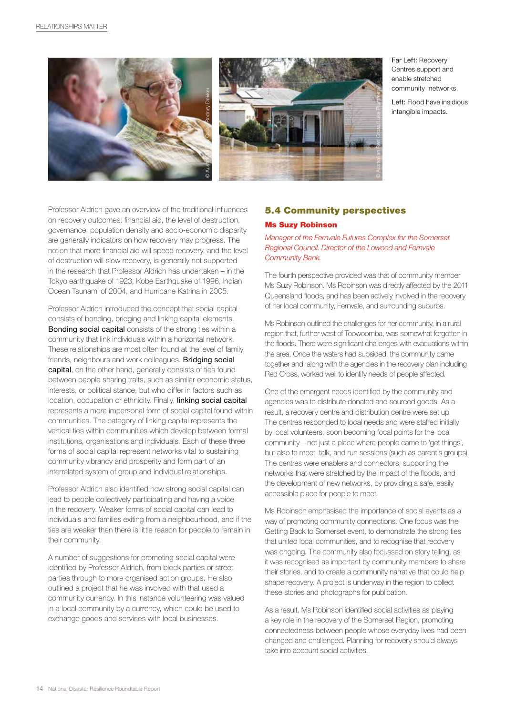<span id="page-15-0"></span>

Far Left: Recovery Centres support and enable stretched community networks.

Left: Flood have insidious intangible impacts.

Professor Aldrich gave an overview of the traditional influences on recovery outcomes: financial aid, the level of destruction, governance, population density and socio-economic disparity are generally indicators on how recovery may progress. The notion that more financial aid will speed recovery, and the level of destruction will slow recovery, is generally not supported in the research that Professor Aldrich has undertaken – in the Tokyo earthquake of 1923, Kobe Earthquake of 1996, Indian Ocean Tsunami of 2004, and Hurricane Katrina in 2005.

Professor Aldrich introduced the concept that social capital consists of bonding, bridging and linking capital elements. Bonding social capital consists of the strong ties within a community that link individuals within a horizontal network. These relationships are most often found at the level of family, friends, neighbours and work colleagues. Bridging social capital, on the other hand, generally consists of ties found between people sharing traits, such as similar economic status, interests, or political stance, but who differ in factors such as location, occupation or ethnicity. Finally, linking social capital represents a more impersonal form of social capital found within communities. The category of linking capital represents the vertical ties within communities which develop between formal institutions, organisations and individuals. Each of these three forms of social capital represent networks vital to sustaining community vibrancy and prosperity and form part of an interrelated system of group and individual relationships.

Professor Aldrich also identified how strong social capital can lead to people collectively participating and having a voice in the recovery. Weaker forms of social capital can lead to individuals and families exiting from a neighbourhood, and if the ties are weaker then there is little reason for people to remain in their community.

A number of suggestions for promoting social capital were identified by Professor Aldrich, from block parties or street parties through to more organised action groups. He also outlined a project that he was involved with that used a community currency. In this instance volunteering was valued in a local community by a currency, which could be used to exchange goods and services with local businesses.

# 5.4 Community perspectives Ms Suzy Robinson

*Manager of the Fernvale Futures Complex for the Somerset Regional Council. Director of the Lowood and Fernvale Community Bank.*

The fourth perspective provided was that of community member Ms Suzy Robinson. Ms Robinson was directly affected by the 2011 Queensland floods, and has been actively involved in the recovery of her local community, Fernvale, and surrounding suburbs.

Ms Robinson outlined the challenges for her community, in a rural region that, further west of Toowoomba, was somewhat forgotten in the floods. There were significant challenges with evacuations within the area. Once the waters had subsided, the community came together and, along with the agencies in the recovery plan including Red Cross, worked well to identify needs of people affected.

One of the emergent needs identified by the community and agencies was to distribute donated and sourced goods. As a result, a recovery centre and distribution centre were set up. The centres responded to local needs and were staffed initially by local volunteers, soon becoming focal points for the local community – not just a place where people came to 'get things'. but also to meet, talk, and run sessions (such as parent's groups). The centres were enablers and connectors, supporting the networks that were stretched by the impact of the floods, and the development of new networks, by providing a safe, easily accessible place for people to meet.

Ms Robinson emphasised the importance of social events as a way of promoting community connections. One focus was the Getting Back to Somerset event, to demonstrate the strong ties that united local communities, and to recognise that recovery was ongoing. The community also focussed on story telling, as it was recognised as important by community members to share their stories, and to create a community narrative that could help shape recovery. A project is underway in the region to collect these stories and photographs for publication.

As a result, Ms Robinson identified social activities as playing a key role in the recovery of the Somerset Region, promoting connectedness between people whose everyday lives had been changed and challenged. Planning for recovery should always take into account social activities.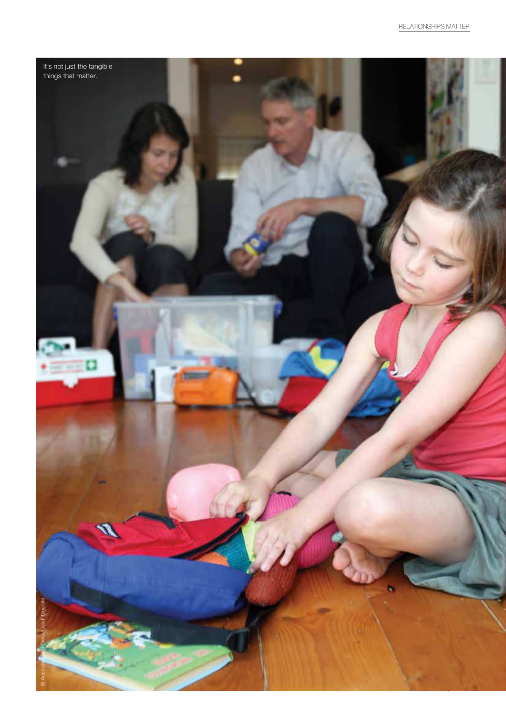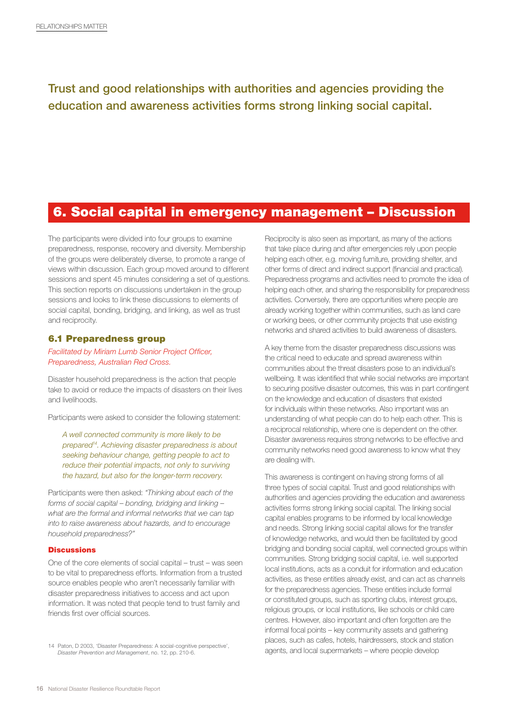Trust and good relationships with authorities and agencies providing the education and awareness activities forms strong linking social capital.

# 6. Social capital in emergency management – Discussion

The participants were divided into four groups to examine preparedness, response, recovery and diversity. Membership of the groups were deliberately diverse, to promote a range of views within discussion. Each group moved around to different sessions and spent 45 minutes considering a set of questions. This section reports on discussions undertaken in the group sessions and looks to link these discussions to elements of social capital, bonding, bridging, and linking, as well as trust and reciprocity.

### 6.1 Preparedness group

#### *Facilitated by Miriam Lumb Senior Project Officer, Preparedness, Australian Red Cross.*

Disaster household preparedness is the action that people take to avoid or reduce the impacts of disasters on their lives and livelihoods.

Participants were asked to consider the following statement:

*A well connected community is more likely to be prepared14. Achieving disaster preparedness is about seeking behaviour change, getting people to act to reduce their potential impacts, not only to surviving the hazard, but also for the longer-term recovery.*

Participants were then asked: *"Thinking about each of the forms of social capital – bonding, bridging and linking – what are the formal and informal networks that we can tap into to raise awareness about hazards, and to encourage household preparedness?"* 

#### **Discussions**

One of the core elements of social capital – trust – was seen to be vital to preparedness efforts. Information from a trusted source enables people who aren't necessarily familiar with disaster preparedness initiatives to access and act upon information. It was noted that people tend to trust family and friends first over official sources.

Reciprocity is also seen as important, as many of the actions that take place during and after emergencies rely upon people helping each other, e.g. moving furniture, providing shelter, and other forms of direct and indirect support (financial and practical). Preparedness programs and activities need to promote the idea of helping each other, and sharing the responsibility for preparedness activities. Conversely, there are opportunities where people are already working together within communities, such as land care or working bees, or other community projects that use existing networks and shared activities to build awareness of disasters.

A key theme from the disaster preparedness discussions was the critical need to educate and spread awareness within communities about the threat disasters pose to an individual's wellbeing. It was identified that while social networks are important to securing positive disaster outcomes, this was in part contingent on the knowledge and education of disasters that existed for individuals within these networks. Also important was an understanding of what people can do to help each other. This is a reciprocal relationship, where one is dependent on the other. Disaster awareness requires strong networks to be effective and community networks need good awareness to know what they are dealing with.

This awareness is contingent on having strong forms of all three types of social capital. Trust and good relationships with authorities and agencies providing the education and awareness activities forms strong linking social capital. The linking social capital enables programs to be informed by local knowledge and needs. Strong linking social capital allows for the transfer of knowledge networks, and would then be facilitated by good bridging and bonding social capital, well connected groups within communities. Strong bridging social capital, i.e. well supported local institutions, acts as a conduit for information and education activities, as these entities already exist, and can act as channels for the preparedness agencies. These entities include formal or constituted groups, such as sporting clubs, interest groups, religious groups, or local institutions, like schools or child care centres. However, also important and often forgotten are the informal focal points – key community assets and gathering places, such as cafes, hotels, hairdressers, stock and station agents, and local supermarkets – where people develop

<sup>14</sup> Paton, D 2003, 'Disaster Preparedness: A social-cognitive perspective', *Disaster Prevention and Management*, no. 12, pp. 210-6.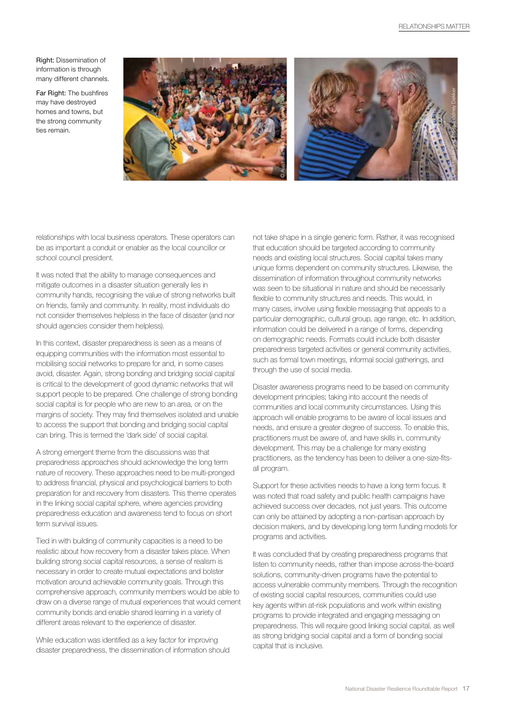Right: Dissemination of information is through many different channels.

Far Right: The bushfires may have destroyed homes and towns, but the strong community ties remain.





relationships with local business operators. These operators can be as important a conduit or enabler as the local councillor or school council president.

It was noted that the ability to manage consequences and mitigate outcomes in a disaster situation generally lies in community hands, recognising the value of strong networks built on friends, family and community. In reality, most individuals do not consider themselves helpless in the face of disaster (and nor should agencies consider them helpless).

In this context, disaster preparedness is seen as a means of equipping communities with the information most essential to mobilising social networks to prepare for and, in some cases avoid, disaster. Again, strong bonding and bridging social capital is critical to the development of good dynamic networks that will support people to be prepared. One challenge of strong bonding social capital is for people who are new to an area, or on the margins of society. They may find themselves isolated and unable to access the support that bonding and bridging social capital can bring. This is termed the 'dark side' of social capital.

A strong emergent theme from the discussions was that preparedness approaches should acknowledge the long term nature of recovery. These approaches need to be multi-pronged to address financial, physical and psychological barriers to both preparation for and recovery from disasters. This theme operates in the linking social capital sphere, where agencies providing preparedness education and awareness tend to focus on short term survival issues.

Tied in with building of community capacities is a need to be realistic about how recovery from a disaster takes place. When building strong social capital resources, a sense of realism is necessary in order to create mutual expectations and bolster motivation around achievable community goals. Through this comprehensive approach, community members would be able to draw on a diverse range of mutual experiences that would cement community bonds and enable shared learning in a variety of different areas relevant to the experience of disaster.

While education was identified as a key factor for improving disaster preparedness, the dissemination of information should not take shape in a single generic form. Rather, it was recognised that education should be targeted according to community needs and existing local structures. Social capital takes many unique forms dependent on community structures. Likewise, the dissemination of information throughout community networks was seen to be situational in nature and should be necessarily flexible to community structures and needs. This would, in many cases, involve using flexible messaging that appeals to a particular demographic, cultural group, age range, etc. In addition, information could be delivered in a range of forms, depending on demographic needs. Formats could include both disaster preparedness targeted activities or general community activities, such as formal town meetings, informal social gatherings, and through the use of social media.

Disaster awareness programs need to be based on community development principles; taking into account the needs of communities and local community circumstances. Using this approach will enable programs to be aware of local issues and needs, and ensure a greater degree of success. To enable this, practitioners must be aware of, and have skills in, community development. This may be a challenge for many existing practitioners, as the tendency has been to deliver a one-size-fitsall program.

Support for these activities needs to have a long term focus. It was noted that road safety and public health campaigns have achieved success over decades, not just years. This outcome can only be attained by adopting a non-partisan approach by decision makers, and by developing long term funding models for programs and activities.

It was concluded that by creating preparedness programs that listen to community needs, rather than impose across-the-board solutions, community-driven programs have the potential to access vulnerable community members. Through the recognition of existing social capital resources, communities could use key agents within at-risk populations and work within existing programs to provide integrated and engaging messaging on preparedness. This will require good linking social capital, as well as strong bridging social capital and a form of bonding social capital that is inclusive.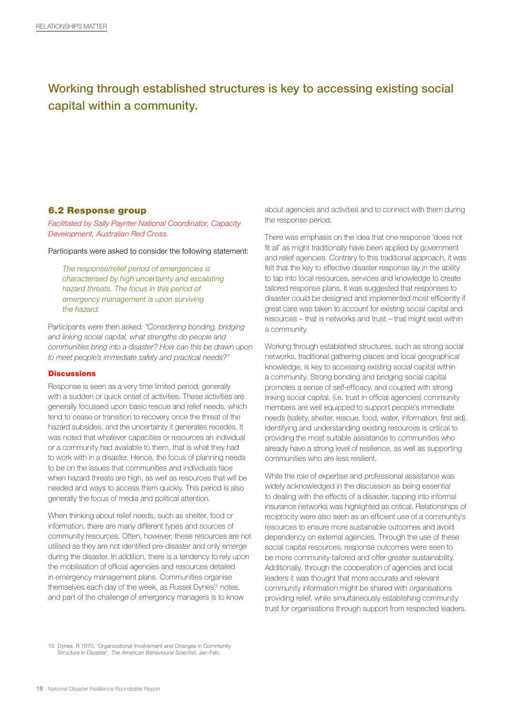# Working through established structures is key to accessing existing social capital within a community.

### 6.2 Response group

*Facilitated by Sally Paynter National Coordinator, Capacity Development, Australian Red Cross.* 

Participants were asked to consider the following statement:

*The response/relief period of emergencies is characterised by high uncertainty and escalating hazard threats. The focus in this period of emergency management is upon surviving the hazard.* 

Participants were then asked: *"Considering bonding, bridging and linking social capital, what strengths do people and communities bring into a disaster? How can this be drawn upon to meet people's immediate safety and practical needs?"*

#### **Discussions**

Response is seen as a very time limited period, generally with a sudden or quick onset of activities. These activities are generally focussed upon basic rescue and relief needs, which tend to cease or transition to recovery once the threat of the hazard subsides, and the uncertainty it generates recedes. It was noted that whatever capacities or resources an individual or a community had available to them, that is what they had to work with in a disaster. Hence, the focus of planning needs to be on the issues that communities and individuals face when hazard threats are high, as well as resources that will be needed and ways to access them quickly. This period is also generally the focus of media and political attention.

When thinking about relief needs, such as shelter, food or information, there are many different types and sources of community resources. Often, however, these resources are not utilised as they are not identified pre-disaster and only emerge during the disaster. In addition, there is a tendency to rely upon the mobilisation of official agencies and resources detailed in emergency management plans. Communities organise themselves each day of the week, as Russel Dynes<sup>15</sup> notes, and part of the challenge of emergency managers is to know

about agencies and activities and to connect with them during the response period.

There was emphasis on the idea that one response 'does not fit all' as might traditionally have been applied by government and relief agencies. Contrary to this traditional approach, it was felt that the key to effective disaster response lay in the ability to tap into local resources, services and knowledge to create tailored response plans. It was suggested that responses to disaster could be designed and implemented most efficiently if great care was taken to account for existing social capital and resources – that is networks and trust – that might exist within a community.

Working through established structures, such as strong social networks, traditional gathering places and local geographical knowledge, is key to accessing existing social capital within a community. Strong bonding and bridging social capital promotes a sense of self-efficacy, and coupled with strong linking social capital, (i.e. trust in official agencies) community members are well equipped to support people's immediate needs (safety, shelter, rescue, food, water, information, first aid). Identifying and understanding existing resources is critical to providing the most suitable assistance to communities who already have a strong level of resilience, as well as supporting communities who are less resilient.

While the role of expertise and professional assistance was widely acknowledged in the discussion as being essential to dealing with the effects of a disaster, tapping into informal insurance networks was highlighted as critical. Relationships of reciprocity were also seen as an efficient use of a community's resources to ensure more sustainable outcomes and avoid dependency on external agencies. Through the use of these social capital resources, response outcomes were seen to be more community-tailored and offer greater sustainability. Additionally, through the cooperation of agencies and local leaders it was thought that more accurate and relevant community information might be shared with organisations providing relief, while simultaneously establishing community trust for organisations through support from respected leaders.

<sup>15</sup> Dynes, R 1970, 'Organizational Involvement and Changes in Community Structure in Disaster', *The American Behavioural Scientist*, Jan-Feb.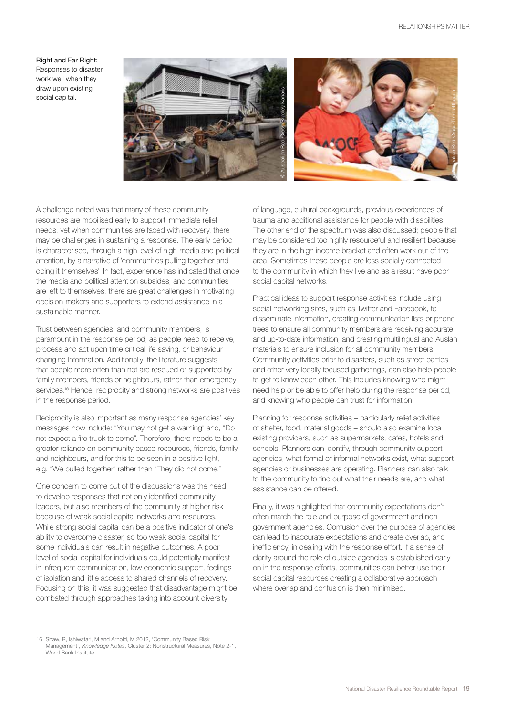Right and Far Right: Responses to disaster work well when they draw upon existing social capital.





A challenge noted was that many of these community resources are mobilised early to support immediate relief needs, yet when communities are faced with recovery, there may be challenges in sustaining a response. The early period is characterised, through a high level of high-media and political attention, by a narrative of 'communities pulling together and doing it themselves'. In fact, experience has indicated that once the media and political attention subsides, and communities are left to themselves, there are great challenges in motivating decision-makers and supporters to extend assistance in a sustainable manner.

Trust between agencies, and community members, is paramount in the response period, as people need to receive, process and act upon time critical life saving, or behaviour changing information. Additionally, the literature suggests that people more often than not are rescued or supported by family members, friends or neighbours, rather than emergency services.<sup>16</sup> Hence, reciprocity and strong networks are positives in the response period.

Reciprocity is also important as many response agencies' key messages now include: "You may not get a warning" and, "Do not expect a fire truck to come". Therefore, there needs to be a greater reliance on community based resources, friends, family, and neighbours, and for this to be seen in a positive light, e.g. "We pulled together" rather than "They did not come."

One concern to come out of the discussions was the need to develop responses that not only identified community leaders, but also members of the community at higher risk because of weak social capital networks and resources. While strong social capital can be a positive indicator of one's ability to overcome disaster, so too weak social capital for some individuals can result in negative outcomes. A poor level of social capital for individuals could potentially manifest in infrequent communication, low economic support, feelings of isolation and little access to shared channels of recovery. Focusing on this, it was suggested that disadvantage might be combated through approaches taking into account diversity

of language, cultural backgrounds, previous experiences of trauma and additional assistance for people with disabilities. The other end of the spectrum was also discussed; people that may be considered too highly resourceful and resilient because they are in the high income bracket and often work out of the area. Sometimes these people are less socially connected to the community in which they live and as a result have poor social capital networks.

Practical ideas to support response activities include using social networking sites, such as Twitter and Facebook, to disseminate information, creating communication lists or phone trees to ensure all community members are receiving accurate and up-to-date information, and creating multilingual and Auslan materials to ensure inclusion for all community members. Community activities prior to disasters, such as street parties and other very locally focused gatherings, can also help people to get to know each other. This includes knowing who might need help or be able to offer help during the response period, and knowing who people can trust for information.

Planning for response activities – particularly relief activities of shelter, food, material goods – should also examine local existing providers, such as supermarkets, cafes, hotels and schools. Planners can identify, through community support agencies, what formal or informal networks exist, what support agencies or businesses are operating. Planners can also talk to the community to find out what their needs are, and what assistance can be offered.

Finally, it was highlighted that community expectations don't often match the role and purpose of government and nongovernment agencies. Confusion over the purpose of agencies can lead to inaccurate expectations and create overlap, and inefficiency, in dealing with the response effort. If a sense of clarity around the role of outside agencies is established early on in the response efforts, communities can better use their social capital resources creating a collaborative approach where overlap and confusion is then minimised.

<sup>16</sup> Shaw, R, Ishiwatari, M and Arnold, M 2012, 'Community Based Risk Management', *Knowledge Notes*, Cluster 2: Nonstructural Measures, Note 2-1, World Bank Institute.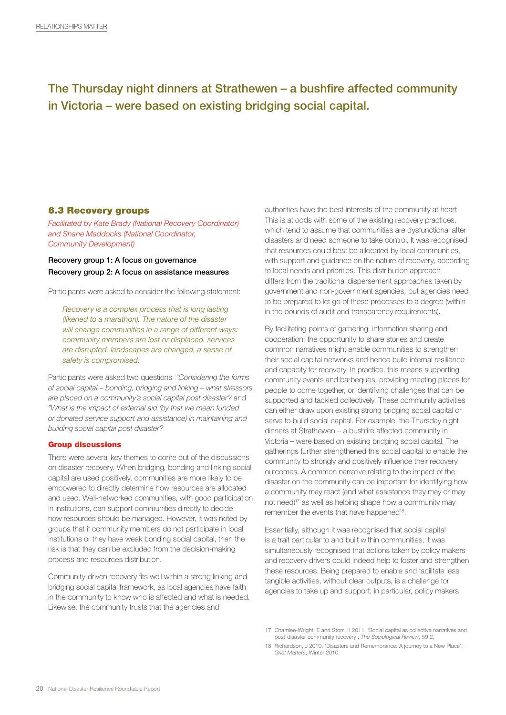The Thursday night dinners at Strathewen – a bushfire affected community in Victoria – were based on existing bridging social capital.

### 6.3 Recovery groups

*Facilitated by Kate Brady (National Recovery Coordinator) and Shane Maddocks (National Coordinator, Community Development)*

Recovery group 1: A focus on governance Recovery group 2: A focus on assistance measures

Participants were asked to consider the following statement:

*Recovery is a complex process that is long lasting (likened to a marathon). The nature of the disaster will change communities in a range of different ways: community members are lost or displaced, services are disrupted, landscapes are changed, a sense of safety is compromised.* 

Participants were asked two questions: *"Considering the forms of social capital – bonding, bridging and linking – what stressors are placed on a community's social capital post disaster?* and *"What is the impact of external aid (by that we mean funded or donated service support and assistance) in maintaining and building social capital post disaster?*

#### Group discussions

There were several key themes to come out of the discussions on disaster recovery. When bridging, bonding and linking social capital are used positively, communities are more likely to be empowered to directly determine how resources are allocated and used. Well-networked communities, with good participation in institutions, can support communities directly to decide how resources should be managed. However, it was noted by groups that if community members do not participate in local institutions or they have weak bonding social capital, then the risk is that they can be excluded from the decision-making process and resources distribution.

Community-driven recovery fits well within a strong linking and bridging social capital framework, as local agencies have faith in the community to know who is affected and what is needed. Likewise, the community trusts that the agencies and

authorities have the best interests of the community at heart. This is at odds with some of the existing recovery practices, which tend to assume that communities are dysfunctional after disasters and need someone to take control. It was recognised that resources could best be allocated by local communities, with support and guidance on the nature of recovery, according to local needs and priorities. This distribution approach differs from the traditional dispersement approaches taken by government and non-government agencies, but agencies need to be prepared to let go of these processes to a degree (within in the bounds of audit and transparency requirements).

By facilitating points of gathering, information sharing and cooperation, the opportunity to share stories and create common narratives might enable communities to strengthen their social capital networks and hence build internal resilience and capacity for recovery. In practice, this means supporting community events and barbeques, providing meeting places for people to come together, or identifying challenges that can be supported and tackled collectively. These community activities can either draw upon existing strong bridging social capital or serve to build social capital. For example, the Thursday night dinners at Strathewen – a bushfire affected community in Victoria – were based on existing bridging social capital. The gatherings further strengthened this social capital to enable the community to strongly and positively influence their recovery outcomes. A common narrative relating to the impact of the disaster on the community can be important for identifying how a community may react (and what assistance they may or may not need)17 as well as helping shape how a community may remember the events that have happened<sup>18</sup>.

Essentially, although it was recognised that social capital is a trait particular to and built within communities, it was simultaneously recognised that actions taken by policy makers and recovery drivers could indeed help to foster and strengthen these resources. Being prepared to enable and facilitate less tangible activities, without clear outputs, is a challenge for agencies to take up and support; in particular, policy makers

<sup>17</sup> Chamlee-Wright, E and Storr, H 2011, 'Social capital as collective narratives and post-disaster community recovery', *The Sociological Review*, 59:2.

<sup>18</sup> Richardson, J 2010, 'Disasters and Remembrance: A journey to a New Place', *Grief Matters*, Winter 2010.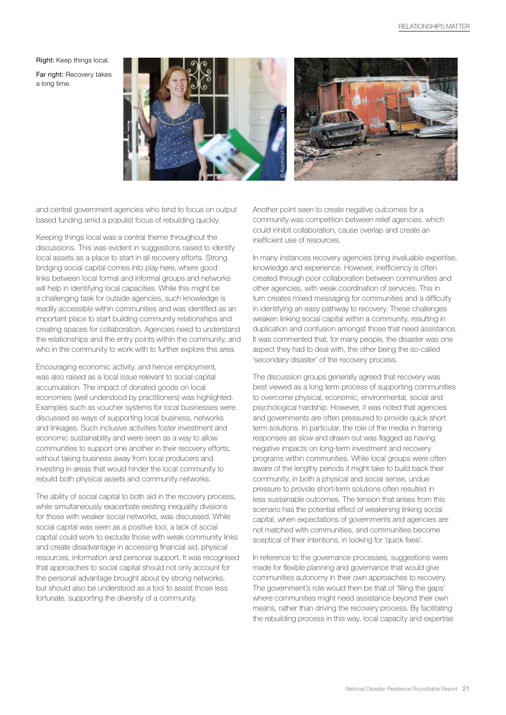<span id="page-22-0"></span>Right: Keep things local.

Far right: Recovery takes a long time.



and central government agencies who tend to focus on output based funding amid a populist focus of rebuilding quickly.

Keeping things local was a central theme throughout the discussions. This was evident in suggestions raised to identify local assets as a place to start in all recovery efforts. Strong bridging social capital comes into play here, where good links between local formal and informal groups and networks will help in identifying local capacities. While this might be a challenging task for outside agencies, such knowledge is readily accessible within communities and was identified as an important place to start building community relationships and creating spaces for collaboration. Agencies need to understand the relationships and the entry points within the community, and who in the community to work with to further explore this area.

Encouraging economic activity, and hence employment, was also raised as a local issue relevant to social capital accumulation. The impact of donated goods on local economies (well understood by practitioners) was highlighted. Examples such as voucher systems for local businesses were discussed as ways of supporting local business, networks and linkages. Such inclusive activities foster investment and economic sustainability and were seen as a way to allow communities to support one another in their recovery efforts, without taking business away from local producers and investing in areas that would hinder the local community to rebuild both physical assets and community networks.

The ability of social capital to both aid in the recovery process, while simultaneously exacerbate existing inequality divisions for those with weaker social networks, was discussed. While social capital was seen as a positive tool, a lack of social capital could work to exclude those with weak community links and create disadvantage in accessing financial aid, physical resources, information and personal support. It was recognised that approaches to social capital should not only account for the personal advantage brought about by strong networks, but should also be understood as a tool to assist those less fortunate, supporting the diversity of a community.

Another point seen to create negative outcomes for a community was competition between relief agencies, which could inhibit collaboration, cause overlap and create an inefficient use of resources.

In many instances recovery agencies bring invaluable expertise, knowledge and experience. However, inefficiency is often created through poor collaboration between communities and other agencies, with weak coordination of services. This in turn creates mixed messaging for communities and a difficulty in identifying an easy pathway to recovery. These challenges weaken linking social capital within a community, resulting in duplication and confusion amongst those that need assistance. It was commented that, for many people, the disaster was one aspect they had to deal with, the other being the so-called 'secondary disaster' of the recovery process.

The discussion groups generally agreed that recovery was best viewed as a long term process of supporting communities to overcome physical, economic, environmental, social and psychological hardship. However, it was noted that agencies and governments are often pressured to provide quick short term solutions. In particular, the role of the media in framing responses as slow and drawn out was flagged as having negative impacts on long-term investment and recovery programs within communities. While local groups were often aware of the lengthy periods it might take to build back their community, in both a physical and social sense, undue pressure to provide short-term solutions often resulted in less sustainable outcomes. The tension that arises from this scenario has the potential effect of weakening linking social capital, when expectations of governments and agencies are not matched with communities, and communities become sceptical of their intentions, in looking for 'quick fixes'.

In reference to the governance processes, suggestions were made for flexible planning and governance that would give communities autonomy in their own approaches to recovery. The government's role would then be that of 'filling the gaps' where communities might need assistance beyond their own means, rather than driving the recovery process. By facilitating the rebuilding process in this way, local capacity and expertise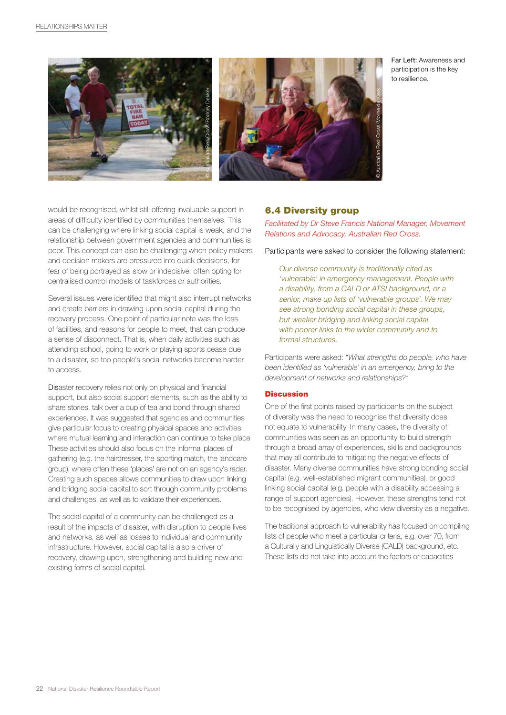Far Left: Awareness and participation is the key to resilience.

<span id="page-23-0"></span>

would be recognised, whilst still offering invaluable support in areas of difficulty identified by communities themselves. This can be challenging where linking social capital is weak, and the relationship between government agencies and communities is poor. This concept can also be challenging when policy makers and decision makers are pressured into quick decisions, for fear of being portrayed as slow or indecisive, often opting for centralised control models of taskforces or authorities.

Several issues were identified that might also interrupt networks and create barriers in drawing upon social capital during the recovery process. One point of particular note was the loss of facilities, and reasons for people to meet, that can produce a sense of disconnect. That is, when daily activities such as attending school, going to work or playing sports cease due to a disaster, so too people's social networks become harder to access.

Disaster recovery relies not only on physical and financial support, but also social support elements, such as the ability to share stories, talk over a cup of tea and bond through shared experiences. It was suggested that agencies and communities give particular focus to creating physical spaces and activities where mutual learning and interaction can continue to take place. These activities should also focus on the informal places of gathering (e.g. the hairdresser, the sporting match, the landcare group), where often these 'places' are not on an agency's radar. Creating such spaces allows communities to draw upon linking and bridging social capital to sort through community problems and challenges, as well as to validate their experiences.

The social capital of a community can be challenged as a result of the impacts of disaster, with disruption to people lives and networks, as well as losses to individual and community infrastructure. However, social capital is also a driver of recovery, drawing upon, strengthening and building new and existing forms of social capital.

## 6.4 Diversity group

*Facilitated by Dr Steve Francis National Manager, Movement Relations and Advocacy, Australian Red Cross.*

#### Participants were asked to consider the following statement:

*Our diverse community is traditionally cited as 'vulnerable' in emergency management. People with a disability, from a CALD or ATSI background, or a senior, make up lists of 'vulnerable groups'. We may see strong bonding social capital in these groups, but weaker bridging and linking social capital, with poorer links to the wider community and to formal structures.*

Participants were asked: *"What strengths do people, who have been identified as 'vulnerable' in an emergency, bring to the development of networks and relationships?"*

#### **Discussion**

One of the first points raised by participants on the subject of diversity was the need to recognise that diversity does not equate to vulnerability. In many cases, the diversity of communities was seen as an opportunity to build strength through a broad array of experiences, skills and backgrounds that may all contribute to mitigating the negative effects of disaster. Many diverse communities have strong bonding social capital (e.g. well-established migrant communities), or good linking social capital (e.g. people with a disability accessing a range of support agencies). However, these strengths tend not to be recognised by agencies, who view diversity as a negative.

The traditional approach to vulnerability has focused on compiling lists of people who meet a particular criteria, e.g. over 70, from a Culturally and Linguistically Diverse (CALD) background, etc. These lists do not take into account the factors or capacities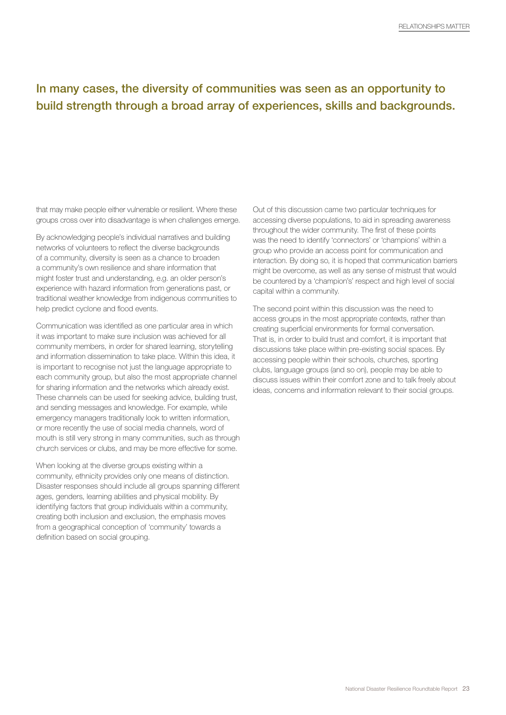# <span id="page-24-0"></span>In many cases, the diversity of communities was seen as an opportunity to build strength through a broad array of experiences, skills and backgrounds.

that may make people either vulnerable or resilient. Where these groups cross over into disadvantage is when challenges emerge.

By acknowledging people's individual narratives and building networks of volunteers to reflect the diverse backgrounds of a community, diversity is seen as a chance to broaden a community's own resilience and share information that might foster trust and understanding, e.g. an older person's experience with hazard information from generations past, or traditional weather knowledge from indigenous communities to help predict cyclone and flood events.

Communication was identified as one particular area in which it was important to make sure inclusion was achieved for all community members, in order for shared learning, storytelling and information dissemination to take place. Within this idea, it is important to recognise not just the language appropriate to each community group, but also the most appropriate channel for sharing information and the networks which already exist. These channels can be used for seeking advice, building trust, and sending messages and knowledge. For example, while emergency managers traditionally look to written information, or more recently the use of social media channels, word of mouth is still very strong in many communities, such as through church services or clubs, and may be more effective for some.

When looking at the diverse groups existing within a community, ethnicity provides only one means of distinction. Disaster responses should include all groups spanning different ages, genders, learning abilities and physical mobility. By identifying factors that group individuals within a community, creating both inclusion and exclusion, the emphasis moves from a geographical conception of 'community' towards a definition based on social grouping.

Out of this discussion came two particular techniques for accessing diverse populations, to aid in spreading awareness throughout the wider community. The first of these points was the need to identify 'connectors' or 'champions' within a group who provide an access point for communication and interaction. By doing so, it is hoped that communication barriers might be overcome, as well as any sense of mistrust that would be countered by a 'champion's' respect and high level of social capital within a community.

The second point within this discussion was the need to access groups in the most appropriate contexts, rather than creating superficial environments for formal conversation. That is, in order to build trust and comfort, it is important that discussions take place within pre-existing social spaces. By accessing people within their schools, churches, sporting clubs, language groups (and so on), people may be able to discuss issues within their comfort zone and to talk freely about ideas, concerns and information relevant to their social groups.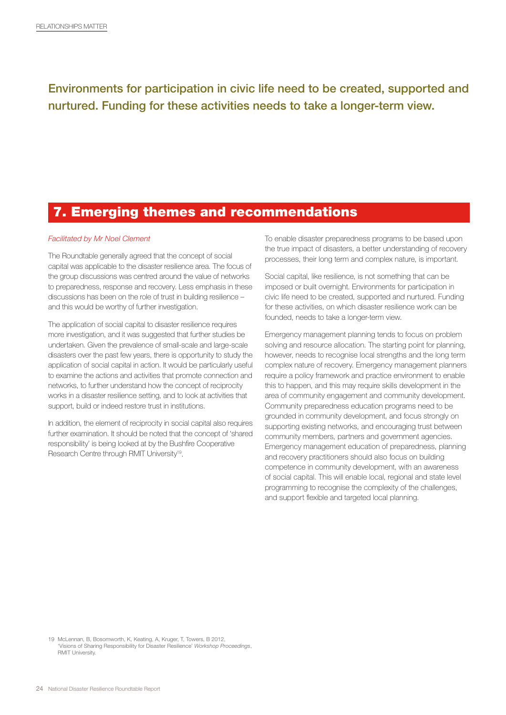<span id="page-25-0"></span>Environments for participation in civic life need to be created, supported and nurtured. Funding for these activities needs to take a longer-term view.

# 7. Emerging themes and recommendations

#### *Facilitated by Mr Noel Clement*

The Roundtable generally agreed that the concept of social capital was applicable to the disaster resilience area. The focus of the group discussions was centred around the value of networks to preparedness, response and recovery. Less emphasis in these discussions has been on the role of trust in building resilience – and this would be worthy of further investigation.

The application of social capital to disaster resilience requires more investigation, and it was suggested that further studies be undertaken. Given the prevalence of small-scale and large-scale disasters over the past few years, there is opportunity to study the application of social capital in action. It would be particularly useful to examine the actions and activities that promote connection and networks, to further understand how the concept of reciprocity works in a disaster resilience setting, and to look at activities that support, build or indeed restore trust in institutions.

In addition, the element of reciprocity in social capital also requires further examination. It should be noted that the concept of 'shared responsibility' is being looked at by the Bushfire Cooperative Research Centre through RMIT University19.

To enable disaster preparedness programs to be based upon the true impact of disasters, a better understanding of recovery processes, their long term and complex nature, is important.

Social capital, like resilience, is not something that can be imposed or built overnight. Environments for participation in civic life need to be created, supported and nurtured. Funding for these activities, on which disaster resilience work can be founded, needs to take a longer-term view.

Emergency management planning tends to focus on problem solving and resource allocation. The starting point for planning, however, needs to recognise local strengths and the long term complex nature of recovery. Emergency management planners require a policy framework and practice environment to enable this to happen, and this may require skills development in the area of community engagement and community development. Community preparedness education programs need to be grounded in community development, and focus strongly on supporting existing networks, and encouraging trust between community members, partners and government agencies. Emergency management education of preparedness, planning and recovery practitioners should also focus on building competence in community development, with an awareness of social capital. This will enable local, regional and state level programming to recognise the complexity of the challenges, and support flexible and targeted local planning.

19 McLennan, B, Bosomworth, K, Keating, A, Kruger, T, Towers, B 2012, 'Visions of Sharing Responsibility for Disaster Resilience' *Workshop Proceedings*, RMIT University.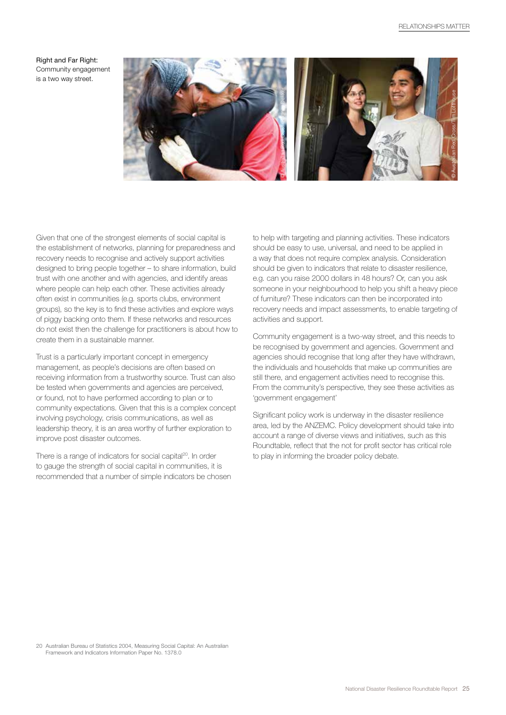<span id="page-26-0"></span>Right and Far Right: Community engagement is a two way street.



Given that one of the strongest elements of social capital is the establishment of networks, planning for preparedness and recovery needs to recognise and actively support activities designed to bring people together – to share information, build trust with one another and with agencies, and identify areas where people can help each other. These activities already often exist in communities (e.g. sports clubs, environment groups), so the key is to find these activities and explore ways of piggy backing onto them. If these networks and resources do not exist then the challenge for practitioners is about how to create them in a sustainable manner.

Trust is a particularly important concept in emergency management, as people's decisions are often based on receiving information from a trustworthy source. Trust can also be tested when governments and agencies are perceived, or found, not to have performed according to plan or to community expectations. Given that this is a complex concept involving psychology, crisis communications, as well as leadership theory, it is an area worthy of further exploration to improve post disaster outcomes.

There is a range of indicators for social capital<sup>20</sup>. In order to gauge the strength of social capital in communities, it is recommended that a number of simple indicators be chosen to help with targeting and planning activities. These indicators should be easy to use, universal, and need to be applied in a way that does not require complex analysis. Consideration should be given to indicators that relate to disaster resilience, e.g. can you raise 2000 dollars in 48 hours? Or, can you ask someone in your neighbourhood to help you shift a heavy piece of furniture? These indicators can then be incorporated into recovery needs and impact assessments, to enable targeting of activities and support.

Community engagement is a two-way street, and this needs to be recognised by government and agencies. Government and agencies should recognise that long after they have withdrawn, the individuals and households that make up communities are still there, and engagement activities need to recognise this. From the community's perspective, they see these activities as 'government engagement'

Significant policy work is underway in the disaster resilience area, led by the ANZEMC. Policy development should take into account a range of diverse views and initiatives, such as this Roundtable, reflect that the not for profit sector has critical role to play in informing the broader policy debate.

20 Australian Bureau of Statistics 2004, Measuring Social Capital: An Australian Framework and Indicators Information Paper No. 1378.0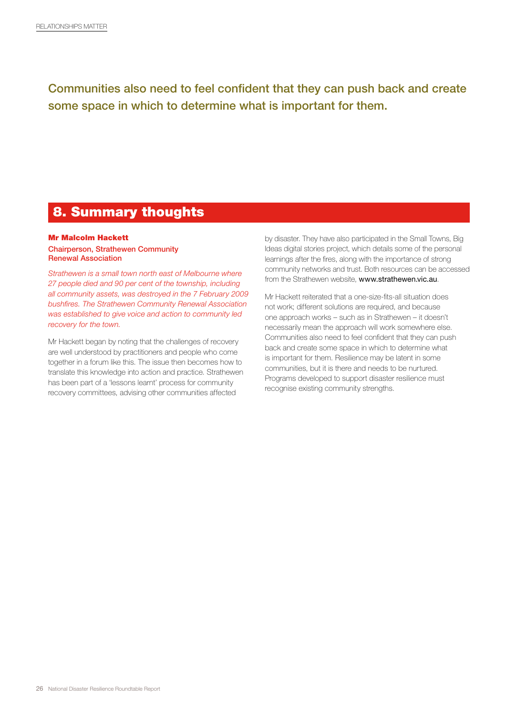Communities also need to feel confident that they can push back and create some space in which to determine what is important for them.

# 8. Summary thoughts

#### Mr Malcolm Hackett

Chairperson, Strathewen Community Renewal Association

*Strathewen is a small town north east of Melbourne where 27 people died and 90 per cent of the township, including all community assets, was destroyed in the 7 February 2009 bushfires. The Strathewen Community Renewal Association was established to give voice and action to community led recovery for the town.*

Mr Hackett began by noting that the challenges of recovery are well understood by practitioners and people who come together in a forum like this. The issue then becomes how to translate this knowledge into action and practice. Strathewen has been part of a 'lessons learnt' process for community recovery committees, advising other communities affected

by disaster. They have also participated in the Small Towns, Big Ideas digital stories project, which details some of the personal learnings after the fires, along with the importance of strong community networks and trust. Both resources can be accessed from the Strathewen website, [www.strathewen.vic.au](http://www.strathewen.vic.au).

Mr Hackett reiterated that a one-size-fits-all situation does not work; different solutions are required, and because one approach works – such as in Strathewen – it doesn't necessarily mean the approach will work somewhere else. Communities also need to feel confident that they can push back and create some space in which to determine what is important for them. Resilience may be latent in some communities, but it is there and needs to be nurtured. Programs developed to support disaster resilience must recognise existing community strengths.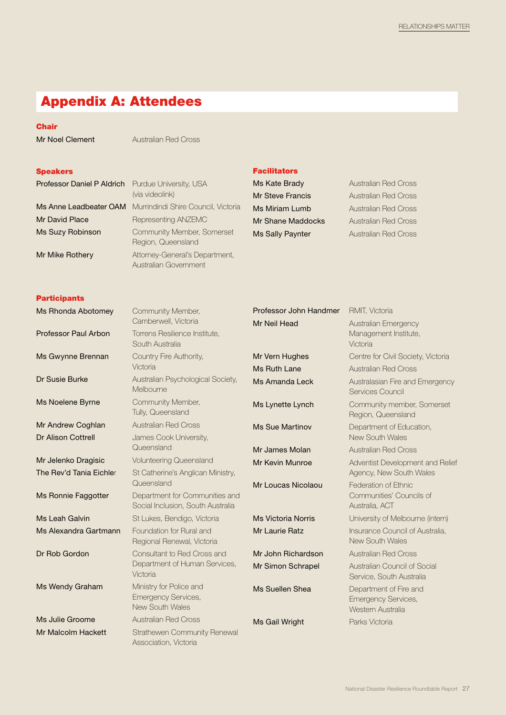# Appendix A: Attendees

#### **Chair**

Mr Noel Clement Australian Red Cross

### Speakers

| Professor Daniel P Aldrich | Purdue University, USA<br>(via videolink)               |
|----------------------------|---------------------------------------------------------|
| Ms Anne Leadbeater OAM     | Murrindindi Shire Council, Victoria                     |
| Mr David Place             | Representing ANZEMC                                     |
| Ms Suzy Robinson           | Community Member, Somerset<br>Region, Queensland        |
| Mr Mike Rothery            | Attorney-General's Department,<br>Australian Government |

### **Facilitators**

| Ms Kate Brady     |
|-------------------|
| Mr Steve Francis  |
| Ms Miriam Lumb    |
| Mr Shane Maddocks |
| Ms Sally Paynter  |

Australian Red Cross Australian Red Cross Australian Red Cross Australian Red Cross Australian Red Cross

### **Participants**

| Ms Rhonda Abotomey          | Community Member,                                                               | Professor John Handmer    | RMIT, Victoria                                                            |
|-----------------------------|---------------------------------------------------------------------------------|---------------------------|---------------------------------------------------------------------------|
|                             | Camberwell, Victoria                                                            | Mr Neil Head              | Australian Emergency                                                      |
| <b>Professor Paul Arbon</b> | Torrens Resilience Institute,<br>South Australia                                |                           | Management Institute,<br>Victoria                                         |
| Ms Gwynne Brennan           | Country Fire Authority,                                                         | Mr Vern Hughes            | Centre for Civil Society, Victoria                                        |
|                             | Victoria                                                                        | Ms Ruth Lane              | <b>Australian Red Cross</b>                                               |
| Dr Susie Burke              | Australian Psychological Society,<br>Melbourne                                  | Ms Amanda Leck            | Australasian Fire and Emergency<br>Services Council                       |
| Ms Noelene Byrne            | Community Member,<br>Tully, Queensland                                          | Ms Lynette Lynch          | Community member, Somerset<br>Region, Queensland                          |
| Mr Andrew Coghlan           | <b>Australian Red Cross</b>                                                     | Ms Sue Martinov           | Department of Education,                                                  |
| <b>Dr Alison Cottrell</b>   | James Cook University,                                                          |                           | <b>New South Wales</b>                                                    |
|                             | Queensland                                                                      | Mr James Molan            | <b>Australian Red Cross</b>                                               |
| Mr Jelenko Dragisic         | <b>Volunteering Queensland</b>                                                  | Mr Kevin Munroe           | Adventist Development and Relief                                          |
| The Rev'd Tania Eichler     | St Catherine's Anglican Ministry,                                               |                           | Agency, New South Wales                                                   |
|                             | Queensland                                                                      | Mr Loucas Nicolaou        | Federation of Ethnic                                                      |
| Ms Ronnie Faggotter         | Department for Communities and<br>Social Inclusion, South Australia             |                           | Communities' Councils of<br>Australia, ACT                                |
| Ms Leah Galvin              | St Lukes, Bendigo, Victoria                                                     | <b>Ms Victoria Norris</b> | University of Melbourne (intern)                                          |
| Ms Alexandra Gartmann       | Foundation for Rural and<br>Regional Renewal, Victoria                          | Mr Laurie Ratz            | Insurance Council of Australia,<br>New South Wales                        |
| Dr Rob Gordon               | Consultant to Red Cross and                                                     | Mr John Richardson        | <b>Australian Red Cross</b>                                               |
|                             | Department of Human Services,<br>Victoria                                       | Mr Simon Schrapel         | Australian Council of Social<br>Service, South Australia                  |
| Ms Wendy Graham             | Ministry for Police and<br><b>Emergency Services,</b><br><b>New South Wales</b> | Ms Suellen Shea           | Department of Fire and<br><b>Emergency Services,</b><br>Western Australia |
| Ms Julie Groome             | <b>Australian Red Cross</b>                                                     | Ms Gail Wright            | Parks Victoria                                                            |
| Mr Malcolm Hackett          | <b>Strathewen Community Renewal</b><br>Association, Victoria                    |                           |                                                                           |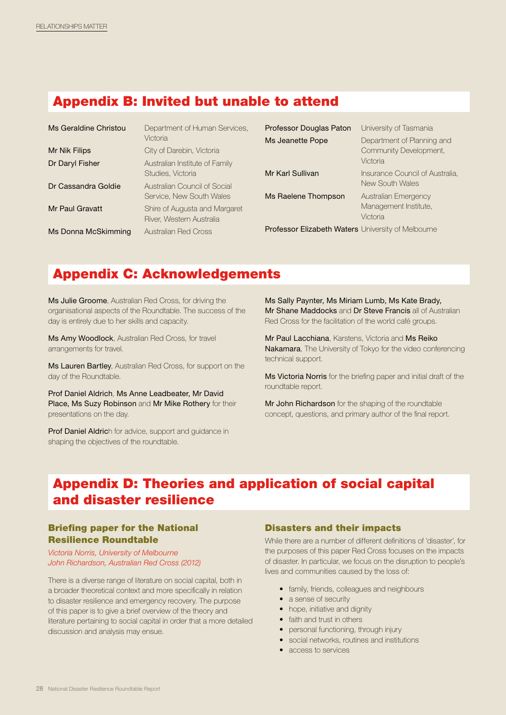# Appendix B: Invited but unable to attend

| Ms Geraldine Christou | Department of Human Services,<br>Victoria                 |
|-----------------------|-----------------------------------------------------------|
| Mr Nik Filips         | City of Darebin, Victoria                                 |
| Dr Daryl Fisher       | Australian Institute of Family<br>Studies, Victoria       |
| Dr Cassandra Goldie   | Australian Council of Social<br>Service, New South Wales  |
| Mr Paul Gravatt       | Shire of Augusta and Margaret<br>River, Western Australia |
| Ms Donna McSkimming   | <b>Australian Red Cross</b>                               |

| <b>Professor Douglas Paton</b><br>Ms Jeanette Pope        | University of Tasmania<br>Department of Planning and<br>Community Development,<br>Victoria |
|-----------------------------------------------------------|--------------------------------------------------------------------------------------------|
| Mr Karl Sullivan                                          | Insurance Council of Australia.<br><b>New South Wales</b>                                  |
| Ms Raelene Thompson                                       | <b>Australian Emergency</b><br>Management Institute,<br>Victoria                           |
| <b>Professor Elizabeth Waters University of Melbourne</b> |                                                                                            |

# Appendix C: Acknowledgements

Ms Julie Groome, Australian Red Cross, for driving the organisational aspects of the Roundtable. The success of the day is entirely due to her skills and capacity.

Ms Amy Woodlock, Australian Red Cross, for travel arrangements for travel.

Ms Lauren Bartley, Australian Red Cross, for support on the day of the Roundtable.

Prof Daniel Aldrich, Ms Anne Leadbeater, Mr David Place, Ms Suzy Robinson and Mr Mike Rothery for their presentations on the day.

Prof Daniel Aldrich for advice, support and guidance in shaping the objectives of the roundtable.

Ms Sally Paynter, Ms Miriam Lumb, Ms Kate Brady, Mr Shane Maddocks and Dr Steve Francis all of Australian Red Cross for the facilitation of the world café groups.

Mr Paul Lacchiana, Karstens, Victoria and Ms Reiko Nakamara, The University of Tokyo for the video conferencing technical support.

Ms Victoria Norris for the briefing paper and initial draft of the roundtable report.

Mr John Richardson for the shaping of the roundtable concept, questions, and primary author of the final report.

# Appendix D: Theories and application of social capital and disaster resilience

# Briefing paper for the National Resilience Roundtable

*Victoria Norris, University of Melbourne John Richardson, Australian Red Cross (2012)*

There is a diverse range of literature on social capital, both in a broader theoretical context and more specifically in relation to disaster resilience and emergency recovery. The purpose of this paper is to give a brief overview of the theory and literature pertaining to social capital in order that a more detailed discussion and analysis may ensue.

### Disasters and their impacts

While there are a number of different definitions of 'disaster', for the purposes of this paper Red Cross focuses on the impacts of disaster. In particular, we focus on the disruption to people's lives and communities caused by the loss of:

- family, friends, colleagues and neighbours
- a sense of security
- hope, initiative and dignity
- faith and trust in others
- personal functioning, through injury
- social networks, routines and institutions
- access to services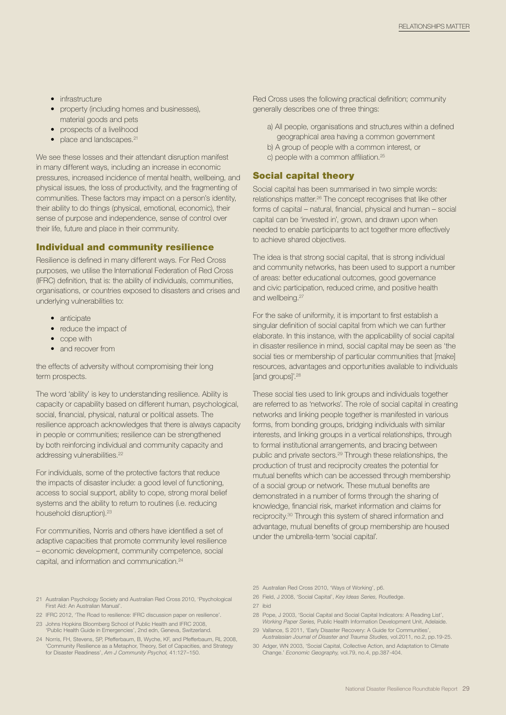- infrastructure
- property (including homes and businesses), material goods and pets
- prospects of a livelihood
- place and landscapes.<sup>21</sup>

We see these losses and their attendant disruption manifest in many different ways, including an increase in economic pressures, increased incidence of mental health, wellbeing, and physical issues, the loss of productivity, and the fragmenting of communities. These factors may impact on a person's identity, their ability to do things (physical, emotional, economic), their sense of purpose and independence, sense of control over their life, future and place in their community.

### Individual and community resilience

Resilience is defined in many different ways. For Red Cross purposes, we utilise the International Federation of Red Cross (IFRC) definition, that is: the ability of individuals, communities, organisations, or countries exposed to disasters and crises and underlying vulnerabilities to:

- anticipate
- reduce the impact of
- cope with
- and recover from

the effects of adversity without compromising their long term prospects.

The word 'ability' is key to understanding resilience. Ability is capacity or capability based on different human, psychological, social, financial, physical, natural or political assets. The resilience approach acknowledges that there is always capacity in people or communities; resilience can be strengthened by both reinforcing individual and community capacity and addressing vulnerabilities.<sup>22</sup>

For individuals, some of the protective factors that reduce the impacts of disaster include: a good level of functioning, access to social support, ability to cope, strong moral belief systems and the ability to return to routines (i.e. reducing household disruption).<sup>23</sup>

For communities, Norris and others have identified a set of adaptive capacities that promote community level resilience – economic development, community competence, social capital, and information and communication.24

- 21 Australian Psychology Society and Australian Red Cross 2010, 'Psychological First Aid: An Australian Manual'.
- 22 IFRC 2012, 'The Road to resilience: IFRC discussion paper on resilience'.
- 23 Johns Hopkins Bloomberg School of Public Health and IFRC 2008, 'Public Health Guide in Emergencies', 2nd edn, Geneva, Switzerland.
- 24 Norris, FH, Stevens, SP, Pfefferbaum, B, Wyche, KF, and Pfefferbaum, RL 2008, 'Community Resilience as a Metaphor, Theory, Set of Capacities, and Strategy for Disaster Readiness', *Am J Community Psychol,* 41:127–150.

Red Cross uses the following practical definition; community generally describes one of three things:

- a) All people, organisations and structures within a defined
- geographical area having a common government
- b) A group of people with a common interest, or
- c) people with a common affiliation.<sup>25</sup>

### Social capital theory

Social capital has been summarised in two simple words: relationships matter.<sup>26</sup> The concept recognises that like other forms of capital – natural, financial, physical and human – social capital can be 'invested in', grown, and drawn upon when needed to enable participants to act together more effectively to achieve shared objectives.

The idea is that strong social capital, that is strong individual and community networks, has been used to support a number of areas: better educational outcomes, good governance and civic participation, reduced crime, and positive health and wellbeing.<sup>27</sup>

For the sake of uniformity, it is important to first establish a singular definition of social capital from which we can further elaborate. In this instance, with the applicability of social capital in disaster resilience in mind, social capital may be seen as 'the social ties or membership of particular communities that [make] resources, advantages and opportunities available to individuals [and groups]'.28

These social ties used to link groups and individuals together are referred to as 'networks'. The role of social capital in creating networks and linking people together is manifested in various forms, from bonding groups, bridging individuals with similar interests, and linking groups in a vertical relationships, through to formal institutional arrangements, and bracing between public and private sectors.<sup>29</sup> Through these relationships, the production of trust and reciprocity creates the potential for mutual benefits which can be accessed through membership of a social group or network. These mutual benefits are demonstrated in a number of forms through the sharing of knowledge, financial risk, market information and claims for reciprocity.30 Through this system of shared information and advantage, mutual benefits of group membership are housed under the umbrella-term 'social capital'.

- 25 Australian Red Cross 2010, 'Ways of Working', p6.
- 26 Field, J 2008, 'Social Capital', *Key Ideas Series,* Routledge.
- 27 ibid
- 28 Pope, J 2003, 'Social Capital and Social Capital Indicators: A Reading List', *Working Paper Series,* Public Health Information Development Unit, Adelaide.
- 29 Vallance, S 2011, 'Early Disaster Recovery: A Guide for Communities *Australasian Journal of Disaster and Trauma Studies,* vol.2011, no.2, pp.19-25.
- 30 Adger, WN 2003, 'Social Capital, Collective Action, and Adaptation to Climate Change.' *Economic Geography,* vol.79, no.4, pp.387-404.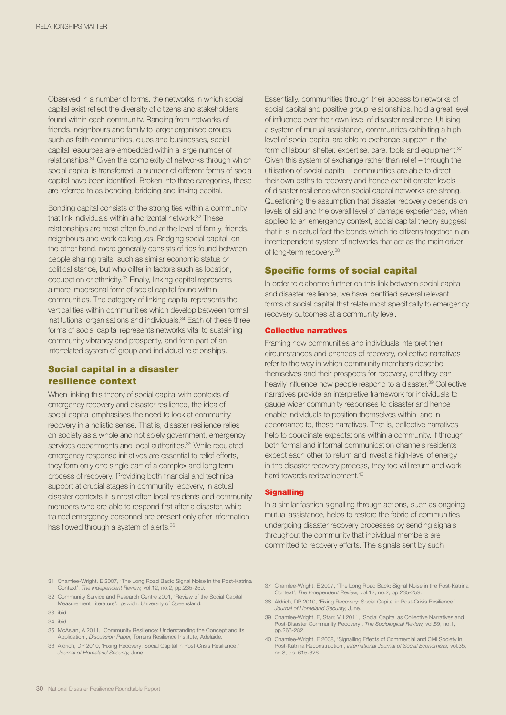Observed in a number of forms, the networks in which social capital exist reflect the diversity of citizens and stakeholders found within each community. Ranging from networks of friends, neighbours and family to larger organised groups, such as faith communities, clubs and businesses, social capital resources are embedded within a large number of relationships.31 Given the complexity of networks through which social capital is transferred, a number of different forms of social capital have been identified. Broken into three categories, these are referred to as bonding, bridging and linking capital.

Bonding capital consists of the strong ties within a community that link individuals within a horizontal network.32 These relationships are most often found at the level of family, friends, neighbours and work colleagues. Bridging social capital, on the other hand, more generally consists of ties found between people sharing traits, such as similar economic status or political stance, but who differ in factors such as location, occupation or ethnicity.33 Finally, linking capital represents a more impersonal form of social capital found within communities. The category of linking capital represents the vertical ties within communities which develop between formal institutions, organisations and individuals.<sup>34</sup> Each of these three forms of social capital represents networks vital to sustaining community vibrancy and prosperity, and form part of an interrelated system of group and individual relationships.

# Social capital in a disaster resilience context

When linking this theory of social capital with contexts of emergency recovery and disaster resilience, the idea of social capital emphasises the need to look at community recovery in a holistic sense. That is, disaster resilience relies on society as a whole and not solely government, emergency services departments and local authorities.<sup>35</sup> While regulated emergency response initiatives are essential to relief efforts, they form only one single part of a complex and long term process of recovery. Providing both financial and technical support at crucial stages in community recovery, in actual disaster contexts it is most often local residents and community members who are able to respond first after a disaster, while trained emergency personnel are present only after information has flowed through a system of alerts.<sup>36</sup>

Essentially, communities through their access to networks of social capital and positive group relationships, hold a great level of influence over their own level of disaster resilience. Utilising a system of mutual assistance, communities exhibiting a high level of social capital are able to exchange support in the form of labour, shelter, expertise, care, tools and equipment.<sup>37</sup> Given this system of exchange rather than relief – through the utilisation of social capital – communities are able to direct their own paths to recovery and hence exhibit greater levels of disaster resilience when social capital networks are strong. Questioning the assumption that disaster recovery depends on levels of aid and the overall level of damage experienced, when applied to an emergency context, social capital theory suggest that it is in actual fact the bonds which tie citizens together in an interdependent system of networks that act as the main driver of long-term recovery.38

### Specific forms of social capital

In order to elaborate further on this link between social capital and disaster resilience, we have identified several relevant forms of social capital that relate most specifically to emergency recovery outcomes at a community level.

#### Collective narratives

Framing how communities and individuals interpret their circumstances and chances of recovery, collective narratives refer to the way in which community members describe themselves and their prospects for recovery, and they can heavily influence how people respond to a disaster.<sup>39</sup> Collective narratives provide an interpretive framework for individuals to gauge wider community responses to disaster and hence enable individuals to position themselves within, and in accordance to, these narratives. That is, collective narratives help to coordinate expectations within a community. If through both formal and informal communication channels residents expect each other to return and invest a high-level of energy in the disaster recovery process, they too will return and work hard towards redevelopment.<sup>40</sup>

#### **Signalling**

In a similar fashion signalling through actions, such as ongoing mutual assistance, helps to restore the fabric of communities undergoing disaster recovery processes by sending signals throughout the community that individual members are committed to recovery efforts. The signals sent by such

- 31 Chamlee-Wright, E 2007, 'The Long Road Back: Signal Noise in the Post-Katrina Context', *The Independent Review,* vol.12, no.2, pp.235-259.
- 32 Community Service and Research Centre 2001, 'Review of the Social Capital Measurement Literature*'.* Ipswich: University of Queensland.
- 33 ibid
- 34 ibid
- 35 McAslan, A 2011, 'Community Resilience: Understanding the Concept and its Application', *Discussion Paper,* Torrens Resilience Institute, Adelaide.
- 36 Aldrich, DP 2010, 'Fixing Recovery: Social Capital in Post-Crisis Resilience.' *Journal of Homeland Security,* June.
- 37 Chamlee-Wright, E 2007, 'The Long Road Back: Signal Noise in the Post-Katrina Context', *The Independent Review,* vol.12, no.2, pp.235-259.
- 38 Aldrich, DP 2010, 'Fixing Recovery: Social Capital in Post-Crisis Resilience.' *Journal of Homeland Security,* June.
- 39 Chamlee-Wright, E, Starr, VH 2011, 'Social Capital as Collective Narratives and Post-Disaster Community Recovery', *The Sociological Review,* vol.59, no.1, pp.266-282.
- 40 Chamlee-Wright, E 2008, 'Signalling Effects of Commercial and Civil Society in Post-Katrina Reconstruction', *International Journal of Social Economists,* vol.35, no.8, pp. 615-626.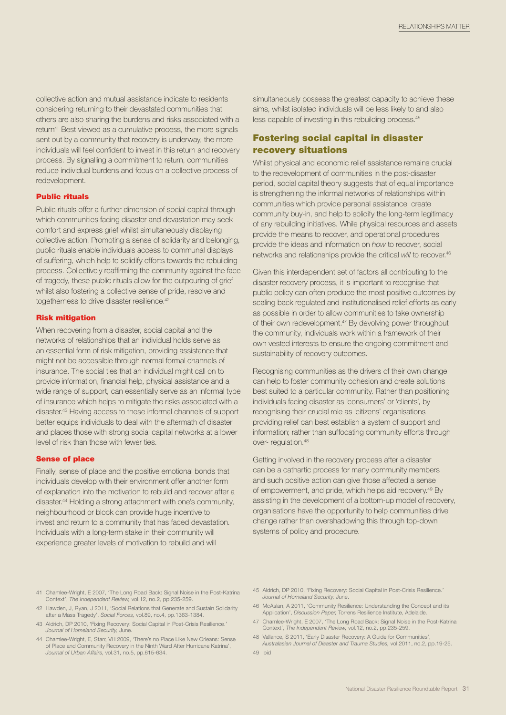collective action and mutual assistance indicate to residents considering returning to their devastated communities that others are also sharing the burdens and risks associated with a return<sup>41</sup> Best viewed as a cumulative process, the more signals sent out by a community that recovery is underway, the more individuals will feel confident to invest in this return and recovery process. By signalling a commitment to return, communities reduce individual burdens and focus on a collective process of redevelopment.

#### Public rituals

Public rituals offer a further dimension of social capital through which communities facing disaster and devastation may seek comfort and express grief whilst simultaneously displaying collective action. Promoting a sense of solidarity and belonging, public rituals enable individuals access to communal displays of suffering, which help to solidify efforts towards the rebuilding process. Collectively reaffirming the community against the face of tragedy, these public rituals allow for the outpouring of grief whilst also fostering a collective sense of pride, resolve and togetherness to drive disaster resilience.<sup>42</sup>

#### Risk mitigation

When recovering from a disaster, social capital and the networks of relationships that an individual holds serve as an essential form of risk mitigation, providing assistance that might not be accessible through normal formal channels of insurance. The social ties that an individual might call on to provide information, financial help, physical assistance and a wide range of support, can essentially serve as an informal type of insurance which helps to mitigate the risks associated with a disaster.43 Having access to these informal channels of support better equips individuals to deal with the aftermath of disaster and places those with strong social capital networks at a lower level of risk than those with fewer ties.

#### Sense of place

Finally, sense of place and the positive emotional bonds that individuals develop with their environment offer another form of explanation into the motivation to rebuild and recover after a disaster.44 Holding a strong attachment with one's community, neighbourhood or block can provide huge incentive to invest and return to a community that has faced devastation. Individuals with a long-term stake in their community will experience greater levels of motivation to rebuild and will

simultaneously possess the greatest capacity to achieve these aims, whilst isolated individuals will be less likely to and also less capable of investing in this rebuilding process.45

## Fostering social capital in disaster recovery situations

Whilst physical and economic relief assistance remains crucial to the redevelopment of communities in the post-disaster period, social capital theory suggests that of equal importance is strengthening the informal networks of relationships within communities which provide personal assistance, create community buy-in, and help to solidify the long-term legitimacy of any rebuilding initiatives. While physical resources and assets provide the means to recover, and operational procedures provide the ideas and information on *how* to recover, social networks and relationships provide the critical *will* to recover.46

Given this interdependent set of factors all contributing to the disaster recovery process, it is important to recognise that public policy can often produce the most positive outcomes by scaling back regulated and institutionalised relief efforts as early as possible in order to allow communities to take ownership of their own redevelopment.47 By devolving power throughout the community, individuals work within a framework of their own vested interests to ensure the ongoing commitment and sustainability of recovery outcomes.

Recognising communities as the drivers of their own change can help to foster community cohesion and create solutions best suited to a particular community. Rather than positioning individuals facing disaster as 'consumers' or 'clients', by recognising their crucial role as 'citizens' organisations providing relief can best establish a system of support and information; rather than suffocating community efforts through over- regulation.48

Getting involved in the recovery process after a disaster can be a cathartic process for many community members and such positive action can give those affected a sense of empowerment, and pride, which helps aid recovery.49 By assisting in the development of a bottom-up model of recovery, organisations have the opportunity to help communities drive change rather than overshadowing this through top-down systems of policy and procedure.

- 41 Chamlee-Wright, E 2007, 'The Long Road Back: Signal Noise in the Post-Katrina Context', *The Independent Review,* vol.12, no.2, pp.235-259.
- 42 Hawden, J, Ryan, J 2011, 'Social Relations that Generate and Sustain Solidarity after a Mass Tragedy', *Social Forces,* vol.89, no.4, pp.1363-1384.
- 43 Aldrich, DP 2010, 'Fixing Recovery: Social Capital in Post-Crisis Resilience.' *Journal of Homeland Security,* June.
- 44 Chamlee-Wright, E, Starr, VH 2009, 'There's no Place Like New Orleans: Sense of Place and Community Recovery in the Ninth Ward After Hurricane Katrina', *Journal of Urban Affairs,* vol.31, no.5, pp.615-634.
- 45 Aldrich, DP 2010, 'Fixing Recovery: Social Capital in Post-Crisis Resilience.' *Journal of Homeland Security,* June.
- 46 McAslan, A 2011, 'Community Resilience: Understanding the Concept and its Application', *Discussion Paper,* Torrens Resilience Institute, Adelaide.
- 47 Chamlee-Wright, E 2007, 'The Long Road Back: Signal Noise in the Post-Katrina Context', *The Independent Review,* vol.12, no.2, pp.235-259.
- 48 Vallance, S 2011, 'Early Disaster Recovery: A Guide for Communities' *Australasian Journal of Disaster and Trauma Studies,* vol.2011, no.2, pp.19-25.
- 49 ibid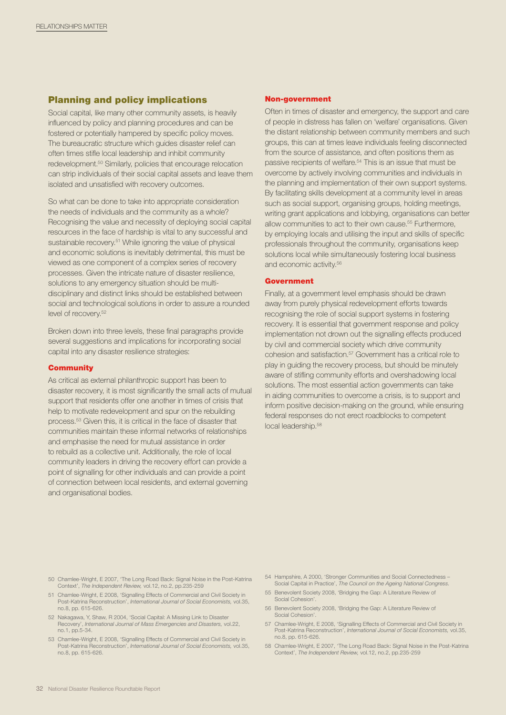### Planning and policy implications

Social capital, like many other community assets, is heavily influenced by policy and planning procedures and can be fostered or potentially hampered by specific policy moves. The bureaucratic structure which guides disaster relief can often times stifle local leadership and inhibit community redevelopment.50 Similarly, policies that encourage relocation can strip individuals of their social capital assets and leave them isolated and unsatisfied with recovery outcomes.

So what can be done to take into appropriate consideration the needs of individuals and the community as a whole? Recognising the value and necessity of deploying social capital resources in the face of hardship is vital to any successful and sustainable recovery.<sup>51</sup> While ignoring the value of physical and economic solutions is inevitably detrimental, this must be viewed as one component of a complex series of recovery processes. Given the intricate nature of disaster resilience, solutions to any emergency situation should be multidisciplinary and distinct links should be established between social and technological solutions in order to assure a rounded level of recovery.52

Broken down into three levels, these final paragraphs provide several suggestions and implications for incorporating social capital into any disaster resilience strategies:

#### **Community**

As critical as external philanthropic support has been to disaster recovery, it is most significantly the small acts of mutual support that residents offer one another in times of crisis that help to motivate redevelopment and spur on the rebuilding process.53 Given this, it is critical in the face of disaster that communities maintain these informal networks of relationships and emphasise the need for mutual assistance in order to rebuild as a collective unit. Additionally, the role of local community leaders in driving the recovery effort can provide a point of signalling for other individuals and can provide a point of connection between local residents, and external governing and organisational bodies.

#### Non-government

Often in times of disaster and emergency, the support and care of people in distress has fallen on 'welfare' organisations. Given the distant relationship between community members and such groups, this can at times leave individuals feeling disconnected from the source of assistance, and often positions them as passive recipients of welfare.<sup>54</sup> This is an issue that must be overcome by actively involving communities and individuals in the planning and implementation of their own support systems. By facilitating skills development at a community level in areas such as social support, organising groups, holding meetings, writing grant applications and lobbying, organisations can better allow communities to act to their own cause.<sup>55</sup> Furthermore, by employing locals and utilising the input and skills of specific professionals throughout the community, organisations keep solutions local while simultaneously fostering local business and economic activity.56

#### Government

Finally, at a government level emphasis should be drawn away from purely physical redevelopment efforts towards recognising the role of social support systems in fostering recovery. It is essential that government response and policy implementation not drown out the signalling effects produced by civil and commercial society which drive community cohesion and satisfaction.57 Government has a critical role to play in guiding the recovery process, but should be minutely aware of stifling community efforts and overshadowing local solutions. The most essential action governments can take in aiding communities to overcome a crisis, is to support and inform positive decision-making on the ground, while ensuring federal responses do not erect roadblocks to competent local leadership.<sup>58</sup>

- 50 Chamlee-Wright, E 2007, 'The Long Road Back: Signal Noise in the Post-Katrina Context', *The Independent Review,* vol.12, no.2, pp.235-259
- 51 Chamlee-Wright, E 2008, 'Signalling Effects of Commercial and Civil Society in Post-Katrina Reconstruction', *International Journal of Social Economists,* vol.35, no.8, pp. 615-626.
- 52 Nakagawa, Y, Shaw, R 2004, 'Social Capital: A Missing Link to Disaster Recovery', *International Journal of Mass Emergencies and Disasters,* vol.22, no.1, pp.5-34.
- 53 Chamlee-Wright, E 2008, 'Signalling Effects of Commercial and Civil Society in Post-Katrina Reconstruction', *International Journal of Social Economists,* vol.35, no.8, pp. 615-626.
- 54 Hampshire, A 2000, 'Stronger Communities and Social Connectedness Social Capital in Practice', *The Council on the Ageing National Congress.*
- 55 Benevolent Society 2008, 'Bridging the Gap: A Literature Review of Social Cohesion'.
- 56 Benevolent Society 2008, 'Bridging the Gap: A Literature Review of Social Cohesion
- 57 Chamlee-Wright, E 2008, 'Signalling Effects of Commercial and Civil Society in Post-Katrina Reconstruction', *International Journal of Social Economists,* vol.35, no.8, pp. 615-626.
- 58 Chamlee-Wright, E 2007, 'The Long Road Back: Signal Noise in the Post-Katrina Context', *The Independent Review,* vol.12, no.2, pp.235-259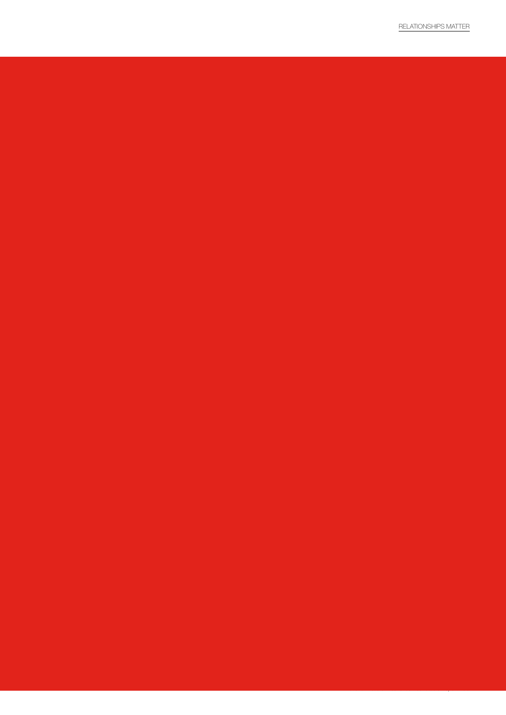National Disaster Resilience Roundtable Report 33